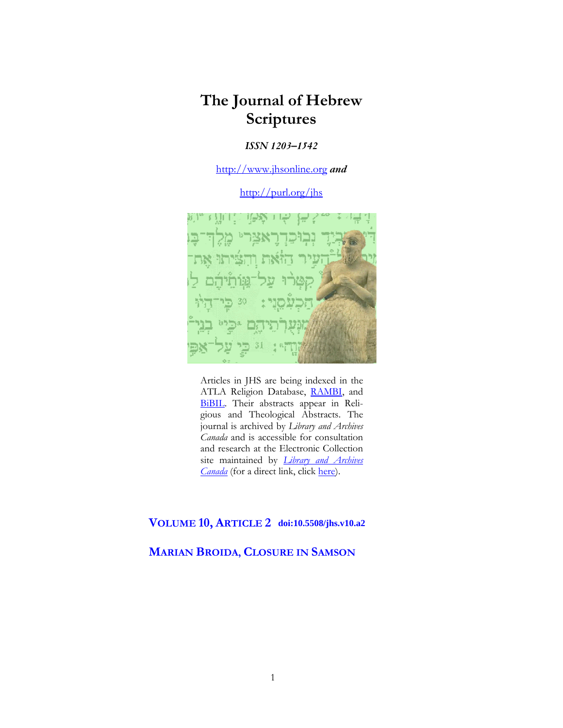# **The Journal of Hebrew Scriptures**

### *ISSN 1203–1542*

[http://www.jhsonline.org](http://www.jhsonline.org/) *and*

<http://purl.org/jhs>



Articles in JHS are being indexed in the ATLA Religion Database, [RAMBI,](http://jnul.huji.ac.il/rambi/) and [BiBIL.](https://wwwdbunil.unil.ch/bibil/bi/en/bibilhome.html) Their abstracts appear in Religious and Theological Abstracts. The journal is archived by *Library and Archives Canada* and is accessible for consultation and research at the Electronic Collection site maintained by *[Library and Archives](http://collectionscanada.ca/electroniccollection/003008-200-e.html)  [Canada](http://collectionscanada.ca/electroniccollection/003008-200-e.html)* (for a direct link, click [here\)](http://epe.lac-bac.gc.ca/100/201/300/journal_hebrew/index.html).

# **VOLUME 10, ARTICLE 2 doi:10.5508/jhs.v10.a2**

### **MARIAN BROIDA, CLOSURE IN SAMSON**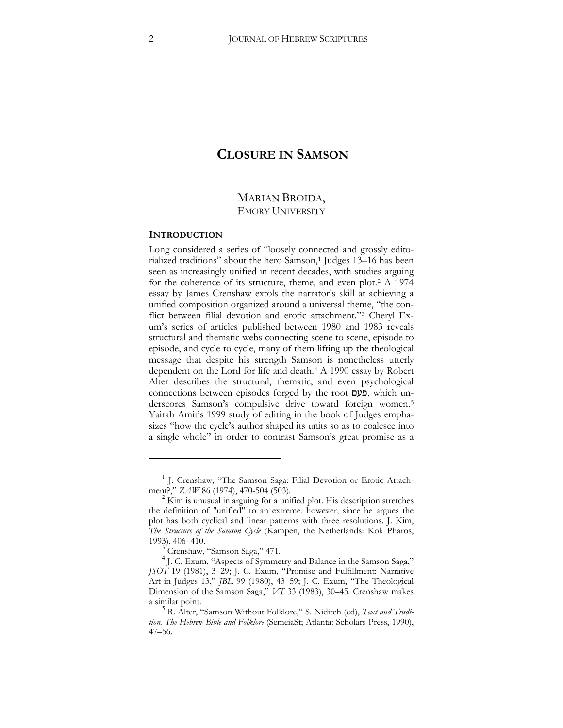# **CLOSURE IN SAMSON**

## MARIAN BROIDA, EMORY UNIVERSITY

#### **INTRODUCTION**

 $\overline{a}$ 

Long considered a series of "loosely connected and grossly edito-rialized traditions" about the hero Samson,<sup>[1](#page-1-0)</sup> Judges 13–16 has been seen as increasingly unified in recent decades, with studies arguing for the coherence of its structure, theme, and even plot.[2](#page-1-1) A 1974 essay by James Crenshaw extols the narrator's skill at achieving a unified composition organized around a universal theme, "the conflict between filial devotion and erotic attachment.["3](#page-1-2) Cheryl Exum's series of articles published between 1980 and 1983 reveals structural and thematic webs connecting scene to scene, episode to episode, and cycle to cycle, many of them lifting up the theological message that despite his strength Samson is nonetheless utterly dependent on the Lord for life and death.[4](#page-1-3) A 1990 essay by Robert Alter describes the structural, thematic, and even psychological connections between episodes forged by the root **עט**ם, which un-derscores Samson's compulsive drive toward foreign women.<sup>[5](#page-1-4)</sup> Yairah Amit's 1999 study of editing in the book of Judges emphasizes "how the cycle's author shaped its units so as to coalesce into a single whole" in order to contrast Samson's great promise as a

<span id="page-1-0"></span><sup>&</sup>lt;sup>1</sup> J. Crenshaw, "The Samson Saga: Filial Devotion or Erotic Attach-ment?,"  $ZAW$  86 (1974), 470-504 (503).

<span id="page-1-1"></span><sup>&</sup>lt;sup>2</sup> Kim is unusual in arguing for a unified plot. His description stretches the definition of "unified" to an extreme, however, since he argues the plot has both cyclical and linear patterns with three resolutions. J. Kim, *The Structure of the Samson Cycle* (Kampen, the Netherlands: Kok Pharos, 1993), 406–410.<br><sup>3</sup> Crenshaw, "Samson Saga," 471.

<span id="page-1-3"></span><span id="page-1-2"></span><sup>4</sup> J. C. Exum, "Aspects of Symmetry and Balance in the Samson Saga," *JSOT* 19 (1981), 3-29; J. C. Exum, "Promise and Fulfillment: Narrative Art in Judges 13," *JBL* 99 (1980), 43-59; J. C. Exum, "The Theological Dimension of the Samson Saga," *VT* 33 (1983), 30–45. Crenshaw makes

<span id="page-1-4"></span>a similar point. <sup>5</sup> R. Alter, "Samson Without Folklore," S. Niditch (ed), *Text and Tradi*tion. The Hebrew Bible and Folklore (SemeiaSt; Atlanta: Scholars Press, 1990), 47–56.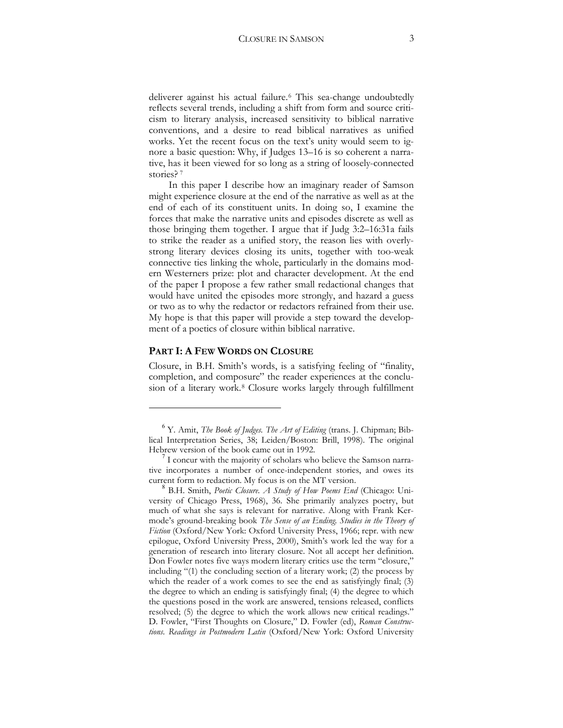deliverer against his actual failure.[6](#page-2-0) This sea-change undoubtedly reflects several trends, including a shift from form and source criticism to literary analysis, increased sensitivity to biblical narrative conventions, and a desire to read biblical narratives as unified works. Yet the recent focus on the text's unity would seem to ignore a basic question: Why, if Judges 13–16 is so coherent a narrative, has it been viewed for so long as a string of loosely-connected stories?<sup>[7](#page-2-1)</sup>

In this paper I describe how an imaginary reader of Samson might experience closure at the end of the narrative as well as at the end of each of its constituent units. In doing so, I examine the forces that make the narrative units and episodes discrete as well as those bringing them together. I argue that if Judg 3:2–16:31a fails to strike the reader as a unified story, the reason lies with overlystrong literary devices closing its units, together with too-weak connective ties linking the whole, particularly in the domains modern Westerners prize: plot and character development. At the end of the paper I propose a few rather small redactional changes that would have united the episodes more strongly, and hazard a guess or two as to why the redactor or redactors refrained from their use. My hope is that this paper will provide a step toward the development of a poetics of closure within biblical narrative.

#### **PART I: A FEW WORDS ON CLOSURE**

 $\overline{a}$ 

Closure, in B.H. Smith's words, is a satisfying feeling of "finality, completion, and composure" the reader experiences at the conclusion of a literary work.[8](#page-2-2) Closure works largely through fulfillment

<span id="page-2-0"></span> $^{6}$  Y. Amit, *The Book of Judges. The Art of Editing* (trans. J. Chipman; Biblical Interpretation Series, 38; Leiden/Boston: Brill, 1998). The original Hebrew version of the book came out in 1992.

<span id="page-2-1"></span>I concur with the majority of scholars who believe the Samson narrative incorporates a number of once-independent stories, and owes its

<span id="page-2-2"></span>current form to redaction. My focus is on the MT version. <sup>8</sup> B.H. Smith, *Poetic Closure. A Study of How Poems End* (Chicago: University of Chicago Press, 1968), 36. She primarily analyzes poetry, but much of what she says is relevant for narrative. Along with Frank Kermode's ground-breaking book *The Sense of an Ending. Studies in the Theory of Fiction* (Oxford/New York: Oxford University Press, 1966; repr. with new epilogue, Oxford University Press, 2000), Smith's work led the way for a generation of research into literary closure. Not all accept her definition. Don Fowler notes five ways modern literary critics use the term "closure," including  $"(1)$  the concluding section of a literary work; (2) the process by which the reader of a work comes to see the end as satisfyingly final;  $(3)$ the degree to which an ending is satisfyingly final; (4) the degree to which the questions posed in the work are answered, tensions released, conflicts resolved; (5) the degree to which the work allows new critical readings." D. Fowler, "First Thoughts on Closure," D. Fowler (ed), *Roman Constructions. Readings in Postmodern Latin* (Oxford/New York: Oxford University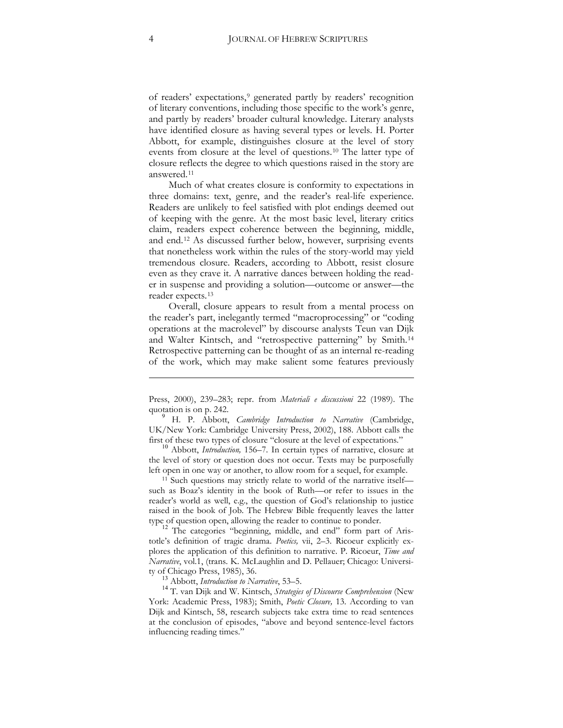of readers' expectations,[9](#page-3-0) generated partly by readers' recognition of literary conventions, including those specific to the work's genre, and partly by readers' broader cultural knowledge. Literary analysts have identified closure as having several types or levels. H. Porter Abbott, for example, distinguishes closure at the level of story events from closure at the level of questions.[10](#page-3-1) The latter type of closure reflects the degree to which questions raised in the story are answered.[11](#page-3-2)

Much of what creates closure is conformity to expectations in three domains: text, genre, and the reader's real-life experience. Readers are unlikely to feel satisfied with plot endings deemed out of keeping with the genre. At the most basic level, literary critics claim, readers expect coherence between the beginning, middle, and end.[12](#page-3-3) As discussed further below, however, surprising events that nonetheless work within the rules of the story-world may yield tremendous closure. Readers, according to Abbott, resist closure even as they crave it. A narrative dances between holding the reader in suspense and providing a solution—outcome or answer—the reader expects.[13](#page-3-4)

Overall, closure appears to result from a mental process on the reader's part, inelegantly termed "macroprocessing" or "coding operations at the macrolevel" by discourse analysts Teun van Dijk and Walter Kintsch, and "retrospective patterning" by Smith.[14](#page-3-5) Retrospective patterning can be thought of as an internal re-reading of the work, which may make salient some features previously

<span id="page-3-1"></span>the level of story or question does not occur. Texts may be purposefully left open in one way or another, to allow room for a sequel, for example.

<span id="page-3-2"></span><sup>11</sup> Such questions may strictly relate to world of the narrative itself such as Boaz's identity in the book of Ruth—or refer to issues in the reader's world as well, e.g., the question of God's relationship to justice raised in the book of Job. The Hebrew Bible frequently leaves the latter type of question open, allowing the reader to continue to ponder.<br><sup>12</sup> The categories "beginning, middle, and end" form part of Aris-

<span id="page-3-3"></span>totle's definition of tragic drama. *Poetics,* vii, 2–3. Ricoeur explicitly explores the application of this definition to narrative. P. Ricoeur, *Time and Narrative*, vol.1, (trans. K. McLaughlin and D. Pellauer; Chicago: Universi-

<span id="page-3-5"></span><span id="page-3-4"></span>ty of Chicago Press, 1985), 36. <sup>13</sup> Abbott, *Introduction to Narrative*, 53–5. <sup>14</sup> T. van Dijk and W. Kintsch, *Strategies of Discourse Comprehension* (New York: Academic Press, 1983); Smith, *Poetic Closure*, 13. According to van Dijk and Kintsch, 58, research subjects take extra time to read sentences at the conclusion of episodes, "above and beyond sentence-level factors influencing reading times."

<u>.</u>

Press, 2000), 239-283; repr. from *Materiali e discussioni* 22 (1989). The quotation is on p. 242.

<span id="page-3-0"></span><sup>9</sup> H. P. Abbott, *Cambridge Introduction to Narrative* (Cambridge, UK/New York: Cambridge University Press, 2002), 188. Abbott calls the first of these two types of closure "closure at the level of expectations." <sup>10</sup> Abbott, *Introduction,* 156–7. In certain types of narrative, closure at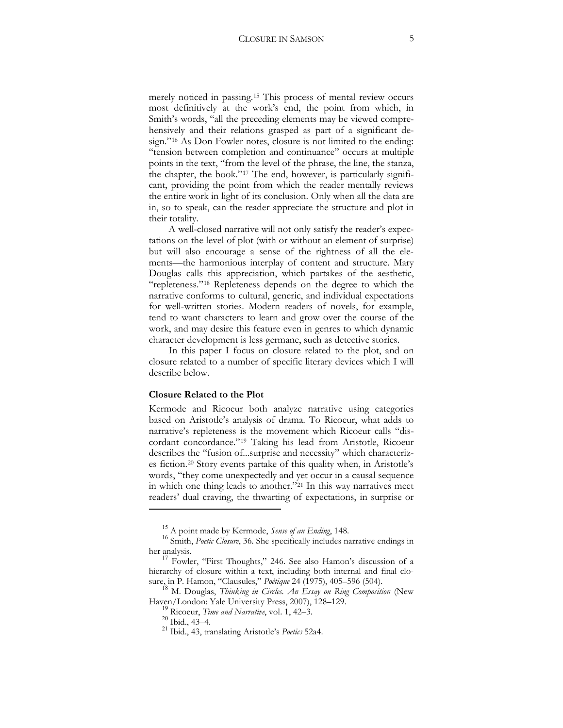merely noticed in passing.[15](#page-4-0) This process of mental review occurs most definitively at the work's end, the point from which, in Smith's words, "all the preceding elements may be viewed comprehensively and their relations grasped as part of a significant design."[16](#page-4-1) As Don Fowler notes, closure is not limited to the ending: "tension between completion and continuance" occurs at multiple points in the text, "from the level of the phrase, the line, the stanza, the chapter, the book."[17](#page-4-2) The end, however, is particularly significant, providing the point from which the reader mentally reviews the entire work in light of its conclusion. Only when all the data are in, so to speak, can the reader appreciate the structure and plot in their totality.

A well-closed narrative will not only satisfy the reader's expectations on the level of plot (with or without an element of surprise) but will also encourage a sense of the rightness of all the elements—the harmonious interplay of content and structure. Mary Douglas calls this appreciation, which partakes of the aesthetic, "repleteness."[18](#page-4-3) Repleteness depends on the degree to which the narrative conforms to cultural, generic, and individual expectations for well-written stories. Modern readers of novels, for example, tend to want characters to learn and grow over the course of the work, and may desire this feature even in genres to which dynamic character development is less germane, such as detective stories.

In this paper I focus on closure related to the plot, and on closure related to a number of specific literary devices which I will describe below.

#### **Closure Related to the Plot**

Kermode and Ricoeur both analyze narrative using categories based on Aristotle's analysis of drama. To Ricoeur, what adds to narrative's repleteness is the movement which Ricoeur calls "discordant concordance."[19](#page-4-4) Taking his lead from Aristotle, Ricoeur describes the "fusion of...surprise and necessity" which characterizes fiction.[20](#page-4-5) Story events partake of this quality when, in Aristotle's words, "they come unexpectedly and yet occur in a causal sequence in which one thing leads to another."[21](#page-4-6) In this way narratives meet readers' dual craving, the thwarting of expectations, in surprise or

<span id="page-4-1"></span><span id="page-4-0"></span><sup>&</sup>lt;sup>15</sup> A point made by Kermode, *Sense of an Ending*, 148.<br><sup>16</sup> Smith, *Poetic Closure*, 36. She specifically includes narrative endings in her analysis.<br><sup>17</sup> Fowler, "First Thoughts," 246. See also Hamon's discussion of a

<span id="page-4-2"></span>hierarchy of closure within a text, including both internal and final closure, in P. Hamon, "Clausules," *Poétique* 24 (1975), 405–596 (504).

<span id="page-4-6"></span><span id="page-4-5"></span><span id="page-4-4"></span><span id="page-4-3"></span><sup>&</sup>lt;sup>18</sup> M. Douglas, Thinking in Circles. An Essay on Ring Composition (New Haven/London: Yale University Press, 2007), 128–129. <sup>19</sup> Ricoeur, *Time and Narrative*, vol. 1, 42–3. <sup>20</sup> Ibid., 43–4. <sup>21</sup> Ibid., 43, translating Aristotle's *Poetics* 52a4.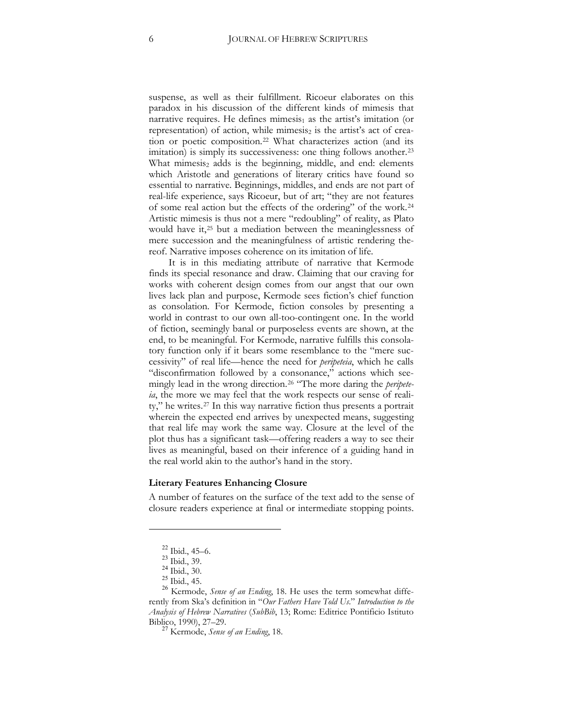suspense, as well as their fulfillment. Ricoeur elaborates on this paradox in his discussion of the different kinds of mimesis that narrative requires. He defines mimesis<sub>1</sub> as the artist's imitation (or representation) of action, while mimesis<sub>2</sub> is the artist's act of creation or poetic composition.[22](#page-5-0) What characterizes action (and its imitation) is simply its successiveness: one thing follows another.<sup>[23](#page-5-1)</sup> What mimesis<sub>2</sub> adds is the beginning, middle, and end: elements which Aristotle and generations of literary critics have found so essential to narrative. Beginnings, middles, and ends are not part of real-life experience, says Ricoeur, but of art; "they are not features of some real action but the effects of the ordering" of the work.[24](#page-5-2) Artistic mimesis is thus not a mere "redoubling" of reality, as Plato would have it,[25](#page-5-3) but a mediation between the meaninglessness of mere succession and the meaningfulness of artistic rendering thereof. Narrative imposes coherence on its imitation of life.

It is in this mediating attribute of narrative that Kermode finds its special resonance and draw. Claiming that our craving for works with coherent design comes from our angst that our own lives lack plan and purpose, Kermode sees fiction's chief function as consolation. For Kermode, fiction consoles by presenting a world in contrast to our own all-too-contingent one. In the world of fiction, seemingly banal or purposeless events are shown, at the end, to be meaningful. For Kermode, narrative fulfills this consolatory function only if it bears some resemblance to the "mere successivity" of real life—hence the need for *peripeteia*, which he calls "disconfirmation followed by a consonance," actions which seemingly lead in the wrong direction.[26](#page-5-4) "The more daring the *peripeteia*, the more we may feel that the work respects our sense of reality," he writes.[27](#page-5-5) In this way narrative fiction thus presents a portrait wherein the expected end arrives by unexpected means, suggesting that real life may work the same way. Closure at the level of the plot thus has a significant task—offering readers a way to see their lives as meaningful, based on their inference of a guiding hand in the real world akin to the author's hand in the story.

#### **Literary Features Enhancing Closure**

A number of features on the surface of the text add to the sense of closure readers experience at final or intermediate stopping points.

<span id="page-5-4"></span><span id="page-5-3"></span><span id="page-5-2"></span><span id="page-5-1"></span><span id="page-5-0"></span><sup>22</sup> Ibid., 45–6. <sup>23</sup> Ibid., 39. <sup>24</sup> Ibid., 30. <sup>25</sup> Ibid., 45. <sup>26</sup> Kermode, *Sense of an Ending*, 18. He uses the term somewhat differently from Ska's definition in "*Our Fathers Have Told Us*." *Introduction to the Analysis of Hebrew Narratives* (*SubBib*, 13; Rome: Editrice Pontificio Istituto Biblico, 1990), 27–29. <sup>27</sup> Kermode, *Sense of an Ending*, 18.

<span id="page-5-5"></span>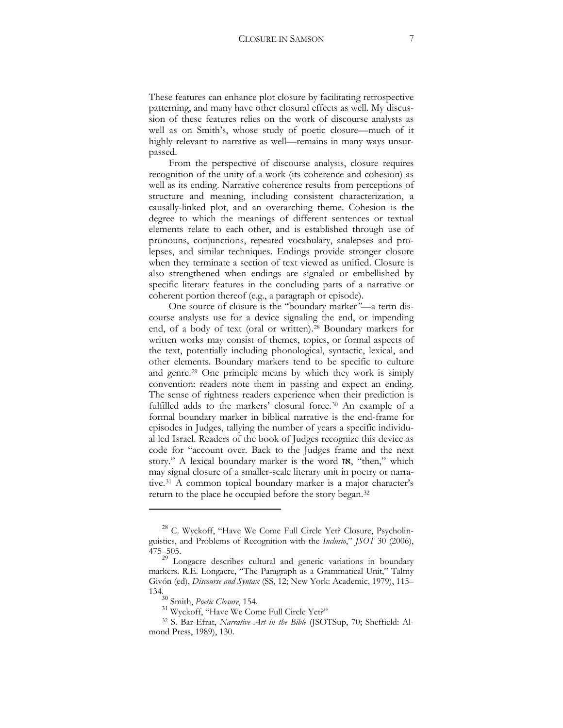These features can enhance plot closure by facilitating retrospective patterning, and many have other closural effects as well. My discussion of these features relies on the work of discourse analysts as well as on Smith's, whose study of poetic closure—much of it highly relevant to narrative as well—remains in many ways unsurpassed.

From the perspective of discourse analysis, closure requires recognition of the unity of a work (its coherence and cohesion) as well as its ending. Narrative coherence results from perceptions of structure and meaning, including consistent characterization, a causally-linked plot, and an overarching theme. Cohesion is the degree to which the meanings of different sentences or textual elements relate to each other, and is established through use of pronouns, conjunctions, repeated vocabulary, analepses and prolepses, and similar techniques. Endings provide stronger closure when they terminate a section of text viewed as unified. Closure is also strengthened when endings are signaled or embellished by specific literary features in the concluding parts of a narrative or coherent portion thereof (e.g., a paragraph or episode).

One source of closure is the "boundary marker*"*—a term discourse analysts use for a device signaling the end, or impending end, of a body of text (oral or written)[.28](#page-6-0) Boundary markers for written works may consist of themes, topics, or formal aspects of the text, potentially including phonological, syntactic, lexical, and other elements. Boundary markers tend to be specific to culture and genre.[29](#page-6-1) One principle means by which they work is simply convention: readers note them in passing and expect an ending. The sense of rightness readers experience when their prediction is fulfilled adds to the markers' closural force.[30](#page-6-2) An example of a formal boundary marker in biblical narrative is the end-frame for episodes in Judges, tallying the number of years a specific individual led Israel. Readers of the book of Judges recognize this device as code for "account over. Back to the Judges frame and the next story." A lexical boundary marker is the word  $\mathsf{tx}$ , "then," which may signal closure of a smaller-scale literary unit in poetry or narrative.[31](#page-6-3) A common topical boundary marker is a major character's return to the place he occupied before the story began.[32](#page-6-4)

<span id="page-6-0"></span><sup>28</sup> C. Wyckoff, "Have We Come Full Circle Yet? Closure, Psycholinguistics, and Problems of Recognition with the *Inclusio*," *JSOT* 30 (2006), 475–505.

<span id="page-6-1"></span><sup>29</sup> Longacre describes cultural and generic variations in boundary markers. R.E. Longacre, "The Paragraph as a Grammatical Unit," Talmy Givón (ed), *Discourse and Syntax* (SS, 12; New York: Academic, 1979), 115–

<span id="page-6-2"></span><sup>134.</sup><sup>30</sup> Smith, *Poetic Closure*, 154. <sup>31</sup> Wyckoff, "Have We Come Full Circle Yet?"

<span id="page-6-4"></span><span id="page-6-3"></span><sup>&</sup>lt;sup>32</sup> S. Bar-Efrat, *Narrative Art in the Bible* (JSOTSup, 70; Sheffield: Almond Press, 1989), 130.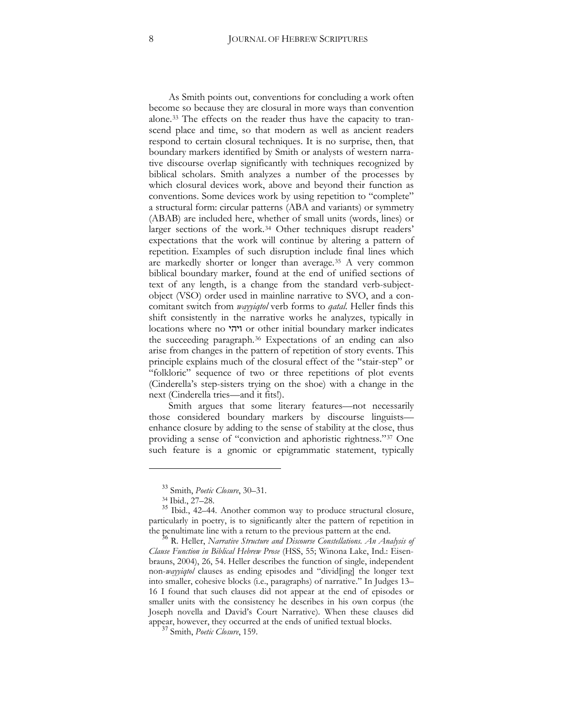As Smith points out, conventions for concluding a work often become so because they are closural in more ways than convention alone.[33](#page-7-0) The effects on the reader thus have the capacity to transcend place and time, so that modern as well as ancient readers respond to certain closural techniques. It is no surprise, then, that boundary markers identified by Smith or analysts of western narrative discourse overlap significantly with techniques recognized by biblical scholars. Smith analyzes a number of the processes by which closural devices work, above and beyond their function as conventions. Some devices work by using repetition to "complete" a structural form: circular patterns (ABA and variants) or symmetry (ABAB) are included here, whether of small units (words, lines) or larger sections of the work.[34](#page-7-1) Other techniques disrupt readers' expectations that the work will continue by altering a pattern of repetition. Examples of such disruption include final lines which are markedly shorter or longer than average.[35](#page-7-2) A very common biblical boundary marker, found at the end of unified sections of text of any length, is a change from the standard verb-subjectobject (VSO) order used in mainline narrative to SVO, and a concomitant switch from *wayyiqtol* verb forms to *qatal*. Heller finds this shift consistently in the narrative works he analyzes, typically in locations where no ויהי or other initial boundary marker indicates the succeeding paragraph.[36](#page-7-3) Expectations of an ending can also arise from changes in the pattern of repetition of story events. This principle explains much of the closural effect of the "stair-step" or "folkloric" sequence of two or three repetitions of plot events (Cinderella's step-sisters trying on the shoe) with a change in the next (Cinderella tries—and it fits!).

Smith argues that some literary features—not necessarily those considered boundary markers by discourse linguists enhance closure by adding to the sense of stability at the close, thus providing a sense of "conviction and aphoristic rightness."[37](#page-7-4) One such feature is a gnomic or epigrammatic statement, typically

<sup>33</sup> Smith, *Poetic Closure*, 30–31.

<span id="page-7-2"></span><span id="page-7-1"></span><span id="page-7-0"></span><sup>&</sup>lt;sup>35</sup> Ibid., 42–44. Another common way to produce structural closure, particularly in poetry, is to significantly alter the pattern of repetition in the penultimate line with a return to the previous pattern at the end. <sup>36</sup> R. Heller, *Narrative Structure and Discourse Constellations. An Analysis of* 

<span id="page-7-3"></span>*Clause Function in Biblical Hebrew Prose* (HSS, 55; Winona Lake, Ind.: Eisenbrauns, 2004), 26, 54. Heller describes the function of single, independent non-*wayyiqtol* clauses as ending episodes and "divid[ing] the longer text into smaller, cohesive blocks (i.e., paragraphs) of narrative." In Judges 13– 16 I found that such clauses did not appear at the end of episodes or smaller units with the consistency he describes in his own corpus (the Joseph novella and David's Court Narrative). When these clauses did appear, however, they occurred at the ends of unified textual blocks. <sup>37</sup> Smith, *Poetic Closure*, 159.

<span id="page-7-4"></span>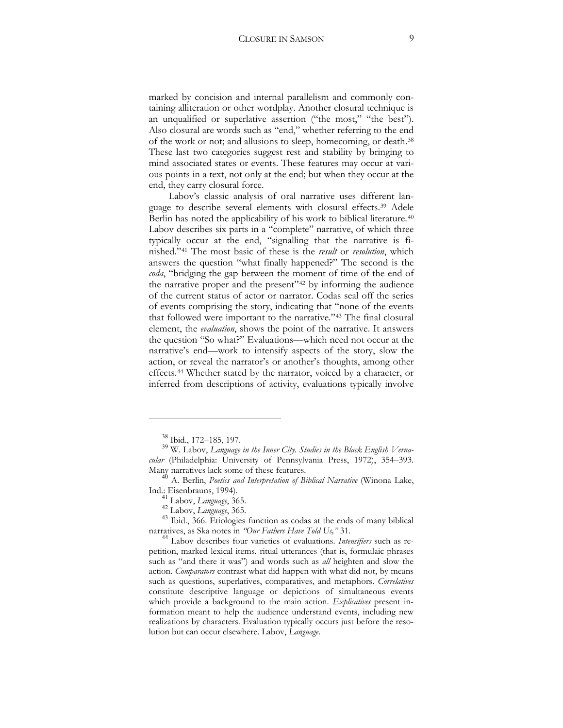marked by concision and internal parallelism and commonly containing alliteration or other wordplay. Another closural technique is an unqualified or superlative assertion ("the most," "the best"). Also closural are words such as "end," whether referring to the end of the work or not; and allusions to sleep, homecoming, or death.<sup>[38](#page-8-0)</sup> These last two categories suggest rest and stability by bringing to mind associated states or events. These features may occur at various points in a text, not only at the end; but when they occur at the end, they carry closural force.

Labov's classic analysis of oral narrative uses different language to describe several elements with closural effects.[39](#page-8-1) Adele Berlin has noted the applicability of his work to biblical literature.[40](#page-8-2) Labov describes six parts in a "complete" narrative, of which three typically occur at the end, "signalling that the narrative is finished."[41](#page-8-3) The most basic of these is the *result* or *resolution*, which answers the question "what finally happened?" The second is the *coda*, "bridging the gap between the moment of time of the end of the narrative proper and the present"[42](#page-8-4) by informing the audience of the current status of actor or narrator. Codas seal off the series of events comprising the story, indicating that "none of the events that followed were important to the narrative."[43](#page-8-5) The final closural element, the *evaluation*, shows the point of the narrative. It answers the question "So what?" Evaluations—which need not occur at the narrative's end—work to intensify aspects of the story, slow the action, or reveal the narrator's or another's thoughts, among other effects.[44](#page-8-6) Whether stated by the narrator, voiced by a character, or inferred from descriptions of activity, evaluations typically involve

<span id="page-8-1"></span><span id="page-8-0"></span><sup>&</sup>lt;sup>38</sup> Ibid., 172–185, 197.<br><sup>39</sup> W. Labov, *Language in the Inner City. Studies in the Black English Vernacular* (Philadelphia: University of Pennsylvania Press, 1972), 354–393.<br>Many narratives lack some of these features.

<span id="page-8-2"></span><sup>&</sup>lt;sup>40</sup> A. Berlin, *Poetics and Interpretation of Biblical Narrative* (Winona Lake, Ind.: Eisenbrauns, 1994).

<span id="page-8-4"></span><span id="page-8-3"></span><sup>&</sup>lt;sup>41</sup> Labov, *Language*, 365.<br><sup>42</sup> Labov, *Language*, 365.<br><sup>43</sup> Ibid., 366. Etiologies function as codas at the ends of many biblical<br>narratives, as Ska notes in *"Our Fathers Have Told Us,"* 31.

<span id="page-8-6"></span><span id="page-8-5"></span><sup>&</sup>lt;sup>44</sup> Labov describes four varieties of evaluations. *Intensifiers* such as repetition, marked lexical items, ritual utterances (that is, formulaic phrases such as "and there it was") and words such as *all* heighten and slow the action. *Comparators* contrast what did happen with what did not, by means such as questions, superlatives, comparatives, and metaphors. *Correlatives* constitute descriptive language or depictions of simultaneous events which provide a background to the main action. *Explicatives* present information meant to help the audience understand events, including new realizations by characters. Evaluation typically occurs just before the resolution but can occur elsewhere. Labov, *Language*.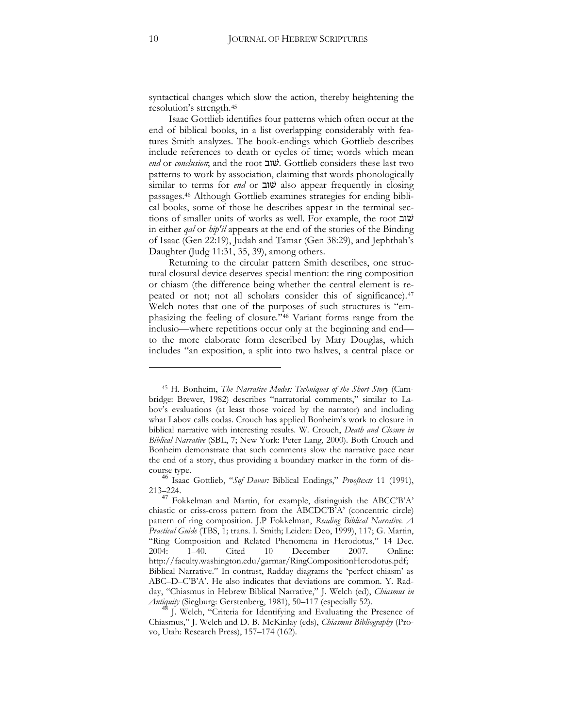syntactical changes which slow the action, thereby heightening the resolution's strength.[45](#page-9-0)

Isaac Gottlieb identifies four patterns which often occur at the end of biblical books, in a list overlapping considerably with features Smith analyzes. The book-endings which Gottlieb describes include references to death or cycles of time; words which mean end or *conclusion*; and the root שוב. Gottlieb considers these last two patterns to work by association, claiming that words phonologically similar to terms for *end* or  $\forall x$  also appear frequently in closing passages.[46](#page-9-1) Although Gottlieb examines strategies for ending biblical books, some of those he describes appear in the terminal sections of smaller units of works as well. For example, the root  $\psi$ in either *qal* or *hip'il* appears at the end of the stories of the Binding of Isaac (Gen 22:19), Judah and Tamar (Gen 38:29), and Jephthah's Daughter (Judg 11:31, 35, 39), among others.

Returning to the circular pattern Smith describes, one structural closural device deserves special mention: the ring composition or chiasm (the difference being whether the central element is re-peated or not; not all scholars consider this of significance).<sup>[47](#page-9-2)</sup> Welch notes that one of the purposes of such structures is "emphasizing the feeling of closure."[48](#page-9-3) Variant forms range from the inclusio—where repetitions occur only at the beginning and end to the more elaborate form described by Mary Douglas, which includes "an exposition, a split into two halves, a central place or

<span id="page-9-0"></span><sup>45</sup> H. Bonheim, *The Narrative Modes: Techniques of the Short Story* (Cambridge: Brewer, 1982) describes "narratorial comments," similar to Labov's evaluations (at least those voiced by the narrator) and including what Labov calls codas. Crouch has applied Bonheim's work to closure in biblical narrative with interesting results. W. Crouch, *Death and Closure in Biblical Narrative* (SBL, 7; New York: Peter Lang, 2000). Both Crouch and Bonheim demonstrate that such comments slow the narrative pace near the end of a story, thus providing a boundary marker in the form of dis-

<span id="page-9-1"></span>course type. <sup>46</sup> Isaac Gottlieb, "*Sof Davar:* Biblical Endings," *Prooftexts* 11 (1991), 213–224.

<span id="page-9-2"></span> $^{47}$  Fokkelman and Martin, for example, distinguish the ABCC'B'A' chiastic or criss-cross pattern from the ABCDC'B'A' (concentric circle) pattern of ring composition. J.P Fokkelman, *Reading Biblical Narrative. A Practical Guide* (TBS, 1; trans. I. Smith; Leiden: Deo, 1999), 117; G. Martin, "Ring Composition and Related Phenomena in Herodotus," 14 Dec. 2004: 1–40. Cited 10 December 2007. Online: http://faculty.washington.edu/garmar/RingCompositionHerodotus.pdf; Biblical Narrative." In contrast, Radday diagrams the 'perfect chiasm' as ABC–D–C'B'A'. He also indicates that deviations are common. Y. Radday, "Chiasmus in Hebrew Biblical Narrative," J. Welch (ed), *Chiasmus in Antiquity* (Siegburg: Gerstenberg, 1981), 50–117 (especially 52). <sup>48</sup> J. Welch, "Criteria for Identifying and Evaluating the Presence of

<span id="page-9-3"></span>Chiasmus," J. Welch and D. B. McKinlay (eds), *Chiasmus Bibliography* (Provo, Utah: Research Press), 157–174 (162).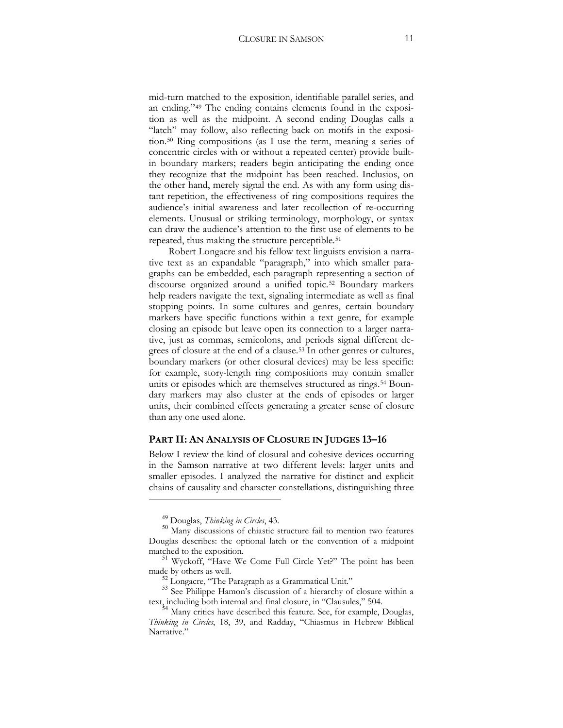mid-turn matched to the exposition, identifiable parallel series, and an ending."[49](#page-10-0) The ending contains elements found in the exposition as well as the midpoint. A second ending Douglas calls a "latch" may follow, also reflecting back on motifs in the exposition.[50](#page-10-1) Ring compositions (as I use the term, meaning a series of concentric circles with or without a repeated center) provide builtin boundary markers; readers begin anticipating the ending once they recognize that the midpoint has been reached. Inclusios, on the other hand, merely signal the end. As with any form using distant repetition, the effectiveness of ring compositions requires the audience's initial awareness and later recollection of re-occurring elements. Unusual or striking terminology, morphology, or syntax can draw the audience's attention to the first use of elements to be repeated, thus making the structure perceptible.<sup>[51](#page-10-2)</sup>

Robert Longacre and his fellow text linguists envision a narrative text as an expandable "paragraph," into which smaller paragraphs can be embedded, each paragraph representing a section of discourse organized around a unified topic.[52](#page-10-3) Boundary markers help readers navigate the text, signaling intermediate as well as final stopping points. In some cultures and genres, certain boundary markers have specific functions within a text genre, for example closing an episode but leave open its connection to a larger narrative, just as commas, semicolons, and periods signal different degrees of closure at the end of a clause.[53](#page-10-4) In other genres or cultures, boundary markers (or other closural devices) may be less specific: for example, story-length ring compositions may contain smaller units or episodes which are themselves structured as rings.<sup>[54](#page-10-5)</sup> Boundary markers may also cluster at the ends of episodes or larger units, their combined effects generating a greater sense of closure than any one used alone.

#### **PART II: AN ANALYSIS OF CLOSURE IN JUDGES 13–16**

Below I review the kind of closural and cohesive devices occurring in the Samson narrative at two different levels: larger units and smaller episodes. I analyzed the narrative for distinct and explicit chains of causality and character constellations, distinguishing three

<span id="page-10-1"></span><span id="page-10-0"></span><sup>&</sup>lt;sup>49</sup> Douglas, *Thinking in Circles*, 43.<br><sup>50</sup> Many discussions of chiastic structure fail to mention two features Douglas describes: the optional latch or the convention of a midpoint matched to the exposition.<br><sup>51</sup> Wyckoff, "Have We Come Full Circle Yet?" The point has been

<span id="page-10-3"></span><span id="page-10-2"></span>made by others as well.<br><sup>52</sup> Longacre, "The Paragraph as a Grammatical Unit."<br><sup>53</sup> See Philippe Hamon's discussion of a hierarchy of closure within a

<span id="page-10-4"></span>text, including both internal and final closure, in "Clausules," 504. <sup>54</sup> Many critics have described this feature. See, for example, Douglas,

<span id="page-10-5"></span>*Thinking in Circles*, 18, 39, and Radday, "Chiasmus in Hebrew Biblical Narrative."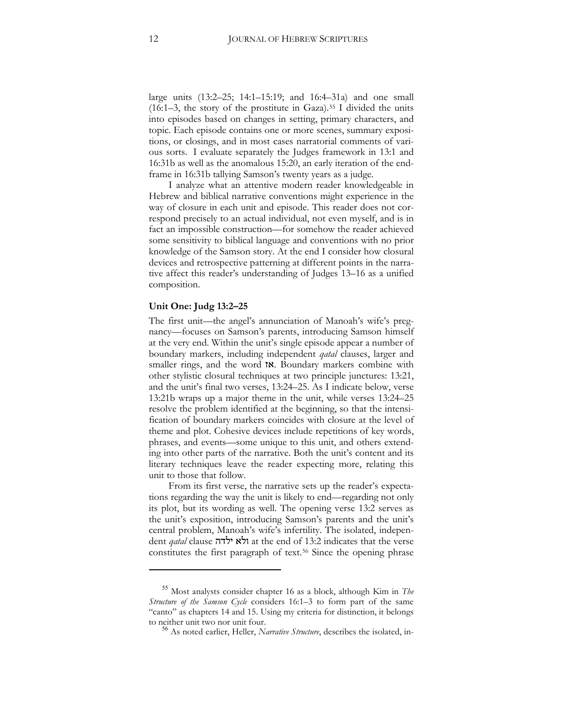large units  $(13:2-25; 14:1-15:19;$  and  $16:4-31a)$  and one small  $(16:1-3,$  the story of the prostitute in Gaza).<sup>[55](#page-11-0)</sup> I divided the units into episodes based on changes in setting, primary characters, and topic. Each episode contains one or more scenes, summary expositions, or closings, and in most cases narratorial comments of various sorts. I evaluate separately the Judges framework in 13:1 and 16:31b as well as the anomalous 15:20, an early iteration of the endframe in 16:31b tallying Samson's twenty years as a judge.

I analyze what an attentive modern reader knowledgeable in Hebrew and biblical narrative conventions might experience in the way of closure in each unit and episode. This reader does not correspond precisely to an actual individual, not even myself, and is in fact an impossible construction—for somehow the reader achieved some sensitivity to biblical language and conventions with no prior knowledge of the Samson story. At the end I consider how closural devices and retrospective patterning at different points in the narrative affect this reader's understanding of Judges 13–16 as a unified composition.

#### **Unit One: Judg 13:2–25**

 $\overline{a}$ 

The first unit—the angel's annunciation of Manoah's wife's pregnancy—focuses on Samson's parents, introducing Samson himself at the very end. Within the unit's single episode appear a number of boundary markers, including independent *qatal* clauses, larger and smaller rings, and the word **18**. Boundary markers combine with other stylistic closural techniques at two principle junctures: 13:21, and the unit's final two verses, 13:24–25. As I indicate below, verse 13:21b wraps up a major theme in the unit, while verses 13:24–25 resolve the problem identified at the beginning, so that the intensification of boundary markers coincides with closure at the level of theme and plot. Cohesive devices include repetitions of key words, phrases, and events—some unique to this unit, and others extending into other parts of the narrative. Both the unit's content and its literary techniques leave the reader expecting more, relating this unit to those that follow.

From its first verse, the narrative sets up the reader's expectations regarding the way the unit is likely to end—regarding not only its plot, but its wording as well. The opening verse 13:2 serves as the unit's exposition, introducing Samson's parents and the unit's central problem, Manoah's wife's infertility. The isolated, independent *qatal* clause !+'+# at the end of 13:2 indicates that the verse constitutes the first paragraph of text.<sup>[56](#page-11-1)</sup> Since the opening phrase

<span id="page-11-1"></span><span id="page-11-0"></span><sup>55</sup> Most analysts consider chapter 16 as a block, although Kim in *The Structure of the Samson Cycle* considers 16:1–3 to form part of the same "canto" as chapters 14 and 15. Using my criteria for distinction, it belongs to neither unit two nor unit four. <sup>56</sup> As noted earlier, Heller, *Narrative Structure*, describes the isolated, in-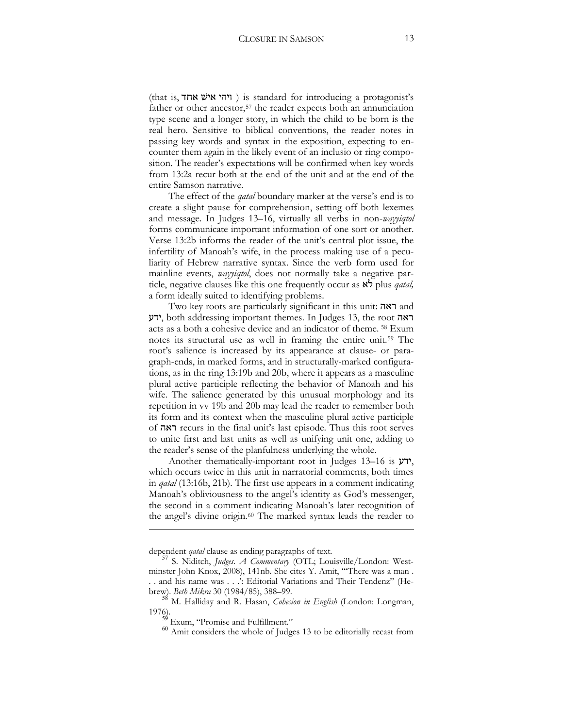(that is, ויהי איש אחד) is standard for introducing a protagonist's father or other ancestor,<sup>[57](#page-12-0)</sup> the reader expects both an annunciation type scene and a longer story, in which the child to be born is the real hero. Sensitive to biblical conventions, the reader notes in passing key words and syntax in the exposition, expecting to encounter them again in the likely event of an inclusio or ring composition. The reader's expectations will be confirmed when key words from 13:2a recur both at the end of the unit and at the end of the entire Samson narrative.

The effect of the *qatal* boundary marker at the verse's end is to create a slight pause for comprehension, setting off both lexemes and message. In Judges 13–16, virtually all verbs in non-*wayyiqtol* forms communicate important information of one sort or another. Verse 13:2b informs the reader of the unit's central plot issue, the infertility of Manoah's wife, in the process making use of a peculiarity of Hebrew narrative syntax. Since the verb form used for mainline events, *wayyiqtol*, does not normally take a negative particle, negative clauses like this one frequently occur as  $\aleph$  plus *qatal*, a form ideally suited to identifying problems.

Two key roots are particularly significant in this unit: ראה ידע, both addressing important themes. In Judges 13, the root ידע acts as a both a cohesive device and an indicator of theme. [58](#page-12-1) Exum notes its structural use as well in framing the entire unit.[59](#page-12-2) The root's salience is increased by its appearance at clause- or paragraph-ends, in marked forms, and in structurally-marked configurations, as in the ring 13:19b and 20b, where it appears as a masculine plural active participle reflecting the behavior of Manoah and his wife. The salience generated by this unusual morphology and its repetition in vv 19b and 20b may lead the reader to remember both its form and its context when the masculine plural active participle of !: recurs in the final unit's last episode. Thus this root serves to unite first and last units as well as unifying unit one, adding to the reader's sense of the planfulness underlying the whole.

Another thematically-important root in Judges 13–16 is  $y\rightarrow$ , which occurs twice in this unit in narratorial comments, both times in *qatal* (13:16b, 21b). The first use appears in a comment indicating Manoah's obliviousness to the angel's identity as God's messenger, the second in a comment indicating Manoah's later recognition of the angel's divine origin.[60](#page-12-3) The marked syntax leads the reader to

<u>.</u>

<span id="page-12-0"></span>dependent *qatal* clause as ending paragraphs of text.<br><sup>57</sup> S. Niditch, *Judges. A Commentary* (OTL; Louisville/London: Westminster John Knox, 2008), 141nb. She cites Y. Amit, "'There was a man . . . and his name was . . .': Editorial Variations and Their Tendenz" (Hebrew). *Beth Mikra* 30 (1984/85), 388–99. <sup>58</sup> M. Halliday and R. Hasan, *Cohesion in English* (London: Longman,

<span id="page-12-3"></span><span id="page-12-2"></span><span id="page-12-1"></span><sup>1976).</sup> <sup>59</sup> Exum, "Promise and Fulfillment." <sup>60</sup> Amit considers the whole of Judges 13 to be editorially recast from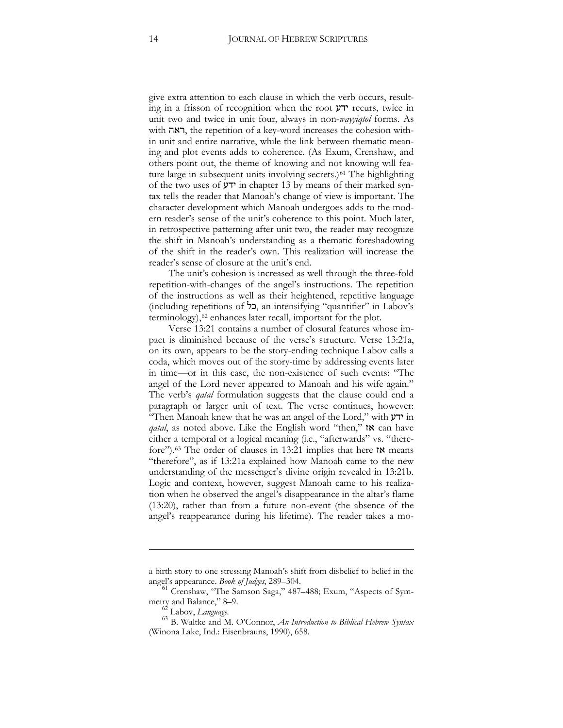give extra attention to each clause in which the verb occurs, resulting in a frisson of recognition when the root  $\mathcal{V}$  recurs, twice in unit two and twice in unit four, always in non-*wayyiqtol* forms. As with ראה, the repetition of a key-word increases the cohesion within unit and entire narrative, while the link between thematic meaning and plot events adds to coherence. (As Exum, Crenshaw, and others point out, the theme of knowing and not knowing will fea-ture large in subsequent units involving secrets.)<sup>[61](#page-13-0)</sup> The highlighting of the two uses of  $\gamma$ ' in chapter 13 by means of their marked syntax tells the reader that Manoah's change of view is important. The character development which Manoah undergoes adds to the modern reader's sense of the unit's coherence to this point. Much later, in retrospective patterning after unit two, the reader may recognize the shift in Manoah's understanding as a thematic foreshadowing of the shift in the reader's own. This realization will increase the reader's sense of closure at the unit's end.

The unit's cohesion is increased as well through the three-fold repetition-with-changes of the angel's instructions. The repetition of the instructions as well as their heightened, repetitive language (including repetitions of +), an intensifying "quantifier" in Labov's terminology),<sup>[62](#page-13-1)</sup> enhances later recall, important for the plot.

Verse 13:21 contains a number of closural features whose impact is diminished because of the verse's structure. Verse 13:21a, on its own, appears to be the story-ending technique Labov calls a coda, which moves out of the story-time by addressing events later in time—or in this case, the non-existence of such events: "The angel of the Lord never appeared to Manoah and his wife again." The verb's *qatal* formulation suggests that the clause could end a paragraph or larger unit of text. The verse continues, however: "Then Manoah knew that he was an angel of the Lord," with  $\gamma$  in *qatal*, as noted above. Like the English word "then," **tx** can have either a temporal or a logical meaning (i.e., "afterwards" vs. "therefore").<sup>63</sup> The order of clauses in 13:21 implies that here  $\alpha$  means "therefore", as if 13:21a explained how Manoah came to the new understanding of the messenger's divine origin revealed in 13:21b. Logic and context, however, suggest Manoah came to his realization when he observed the angel's disappearance in the altar's flame (13:20), rather than from a future non-event (the absence of the angel's reappearance during his lifetime). The reader takes a mo-

-

a birth story to one stressing Manoah's shift from disbelief to belief in the

<span id="page-13-0"></span>angel's appearance. *Book of Judges*, 289–304.<br>
<sup>61</sup> Crenshaw, "The Samson Saga," 487–488; Exum, "Aspects of Sym-<br>
metry and Balance," 8–9.<br>
<u><sup>62</sup></u> Labov, *Language*.

<span id="page-13-2"></span><span id="page-13-1"></span><sup>&</sup>lt;sup>63</sup> B. Waltke and M. O'Connor, *An Introduction to Biblical Hebrew Syntax* (Winona Lake, Ind.: Eisenbrauns, 1990), 658.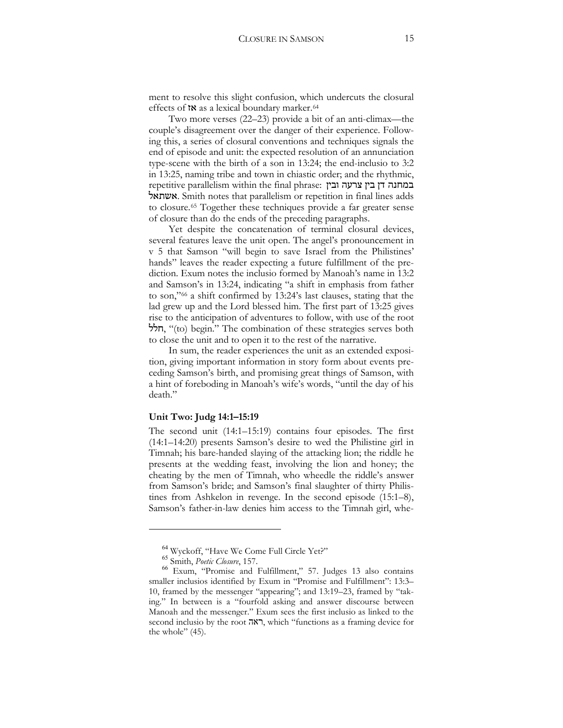ment to resolve this slight confusion, which undercuts the closural effects of  $\mathsf{tx}$  as a lexical boundary marker.<sup>[64](#page-14-0)</sup>

Two more verses (22–23) provide a bit of an anti-climax—the couple's disagreement over the danger of their experience. Following this, a series of closural conventions and techniques signals the end of episode and unit: the expected resolution of an annunciation type-scene with the birth of a son in  $13:24$ ; the end-inclusio to  $3:2$ in 13:25, naming tribe and town in chiastic order; and the rhythmic, repetitive parallelism within the final phrase: במחנה דן בין צרעה ובין +=<. Smith notes that parallelism or repetition in final lines adds to closure.[65](#page-14-1) Together these techniques provide a far greater sense of closure than do the ends of the preceding paragraphs.

Yet despite the concatenation of terminal closural devices, several features leave the unit open. The angel's pronouncement in v 5 that Samson "will begin to save Israel from the Philistines' hands" leaves the reader expecting a future fulfillment of the prediction. Exum notes the inclusio formed by Manoah's name in 13:2 and Samson's in 13:24, indicating "a shift in emphasis from father to son,"[66](#page-14-2) a shift confirmed by 13:24's last clauses, stating that the lad grew up and the Lord blessed him. The first part of 13:25 gives rise to the anticipation of adventures to follow, with use of the root הלל, "(to) begin." The combination of these strategies serves both to close the unit and to open it to the rest of the narrative.

In sum, the reader experiences the unit as an extended exposition, giving important information in story form about events preceding Samson's birth, and promising great things of Samson, with a hint of foreboding in Manoah's wife's words, "until the day of his death."

#### **Unit Two: Judg 14:1–15:19**

The second unit (14:1–15:19) contains four episodes. The first (14:1–14:20) presents Samson's desire to wed the Philistine girl in Timnah; his bare-handed slaying of the attacking lion; the riddle he presents at the wedding feast, involving the lion and honey; the cheating by the men of Timnah, who wheedle the riddle's answer from Samson's bride; and Samson's final slaughter of thirty Philistines from Ashkelon in revenge. In the second episode (15:1–8), Samson's father-in-law denies him access to the Timnah girl, whe-

<span id="page-14-2"></span><span id="page-14-1"></span><span id="page-14-0"></span><sup>64</sup> Wyckoff, "Have We Come Full Circle Yet?" <sup>65</sup> Smith, *Poetic Closure*, 157. <sup>66</sup> Exum, "Promise and Fulfillment," 57. Judges 13 also contains smaller inclusios identified by Exum in "Promise and Fulfillment": 13:3– 10, framed by the messenger "appearing"; and 13:19–23, framed by "taking." In between is a "fourfold asking and answer discourse between Manoah and the messenger." Exum sees the first inclusio as linked to the second inclusio by the root האה, which "functions as a framing device for the whole" (45).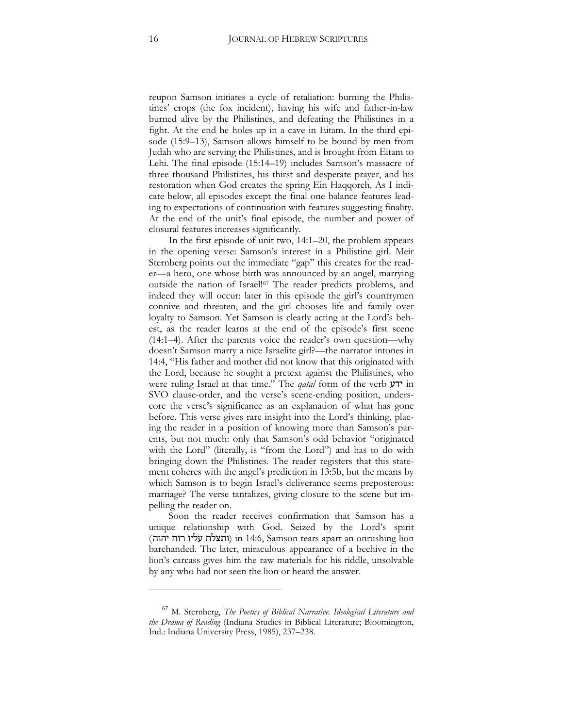reupon Samson initiates a cycle of retaliation: burning the Philistines' crops (the fox incident), having his wife and father-in-law burned alive by the Philistines, and defeating the Philistines in a fight. At the end he holes up in a cave in Eitam. In the third episode (15:9–13), Samson allows himself to be bound by men from Judah who are serving the Philistines, and is brought from Eitam to Lehi. The final episode (15:14–19) includes Samson's massacre of three thousand Philistines, his thirst and desperate prayer, and his restoration when God creates the spring Ein Haqqoreh. As I indicate below, all episodes except the final one balance features leading to expectations of continuation with features suggesting finality. At the end of the unit's final episode, the number and power of closural features increases significantly.

In the first episode of unit two, 14:1–20, the problem appears in the opening verse: Samson's interest in a Philistine girl. Meir Sternberg points out the immediate "gap" this creates for the reader—a hero, one whose birth was announced by an angel, marrying outside the nation of Israel![67](#page-15-0) The reader predicts problems, and indeed they will occur: later in this episode the girl's countrymen connive and threaten, and the girl chooses life and family over loyalty to Samson. Yet Samson is clearly acting at the Lord's behest, as the reader learns at the end of the episode's first scene (14:1–4). After the parents voice the reader's own question—why doesn't Samson marry a nice Israelite girl?—the narrator intones in 14:4, "His father and mother did not know that this originated with the Lord, because he sought a pretext against the Philistines, who were ruling Israel at that time." The *qatal* form of the verb  $y$ ידע SVO clause-order, and the verse's scene-ending position, underscore the verse's significance as an explanation of what has gone before. This verse gives rare insight into the Lord's thinking, placing the reader in a position of knowing more than Samson's parents, but not much: only that Samson's odd behavior "originated with the Lord" (literally, is "from the Lord") and has to do with bringing down the Philistines. The reader registers that this statement coheres with the angel's prediction in 13:5b, but the means by which Samson is to begin Israel's deliverance seems preposterous: marriage? The verse tantalizes, giving closure to the scene but impelling the reader on.

Soon the reader receives confirmation that Samson has a unique relationship with God. Seized by the Lord's spirit (ותצלח עליו רוח יהוה) in 14:6, Samson tears apart an onrushing lion barehanded. The later, miraculous appearance of a beehive in the lion's carcass gives him the raw materials for his riddle, unsolvable by any who had not seen the lion or heard the answer.

<span id="page-15-0"></span><sup>67</sup> M. Sternberg, *The Poetics of Biblical Narrative. Ideological Literature and the Drama of Reading* (Indiana Studies in Biblical Literature; Bloomington, Ind.: Indiana University Press, 1985), 237–238.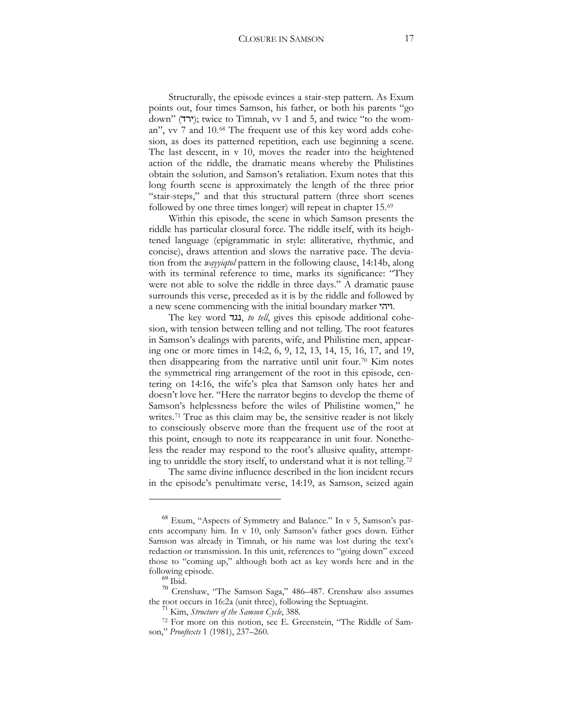Structurally, the episode evinces a stair-step pattern. As Exum points out, four times Samson, his father, or both his parents "go down" (ירד); twice to Timnah, vv 1 and 5, and twice "to the woman", vv 7 and 10.[68](#page-16-0) The frequent use of this key word adds cohesion, as does its patterned repetition, each use beginning a scene. The last descent, in v 10, moves the reader into the heightened action of the riddle, the dramatic means whereby the Philistines obtain the solution, and Samson's retaliation. Exum notes that this long fourth scene is approximately the length of the three prior "stair-steps," and that this structural pattern (three short scenes followed by one three times longer) will repeat in chapter 15.[69](#page-16-1)

Within this episode, the scene in which Samson presents the riddle has particular closural force. The riddle itself, with its heightened language (epigrammatic in style: alliterative, rhythmic, and concise), draws attention and slows the narrative pace. The deviation from the *wayyiqtol* pattern in the following clause, 14:14b, along with its terminal reference to time, marks its significance: "They were not able to solve the riddle in three days." A dramatic pause surrounds this verse, preceded as it is by the riddle and followed by a new scene commencing with the initial boundary marker 'היהי.

The key word 1, *to tell*, gives this episode additional cohesion, with tension between telling and not telling. The root features in Samson's dealings with parents, wife, and Philistine men, appearing one or more times in 14:2, 6, 9, 12, 13, 14, 15, 16, 17, and 19, then disappearing from the narrative until unit four.[70](#page-16-2) Kim notes the symmetrical ring arrangement of the root in this episode, centering on 14:16, the wife's plea that Samson only hates her and doesn't love her. "Here the narrator begins to develop the theme of Samson's helplessness before the wiles of Philistine women," he writes.[71](#page-16-3) True as this claim may be, the sensitive reader is not likely to consciously observe more than the frequent use of the root at this point, enough to note its reappearance in unit four. Nonetheless the reader may respond to the root's allusive quality, attempting to unriddle the story itself, to understand what it is not telling.[72](#page-16-4)

The same divine influence described in the lion incident recurs in the episode's penultimate verse, 14:19, as Samson, seized again

<span id="page-16-0"></span><sup>68</sup> Exum, "Aspects of Symmetry and Balance." In v 5, Samson's parents accompany him. In v 10, only Samson's father goes down. Either Samson was already in Timnah, or his name was lost during the text's redaction or transmission. In this unit, references to "going down" exceed those to "coming up," although both act as key words here and in the

<span id="page-16-2"></span><span id="page-16-1"></span>following episode. <sup>69</sup> Ibid. <sup>70</sup> Crenshaw, "The Samson Saga," 486–487. Crenshaw also assumes the root occurs in 16:2a (unit three), following the Septuagint. <sup>71</sup> Kim, *Structure of the Samson Cycle*, 388.

<span id="page-16-4"></span><span id="page-16-3"></span><sup>72</sup> For more on this notion, see E. Greenstein, "The Riddle of Samson," *Prooftexts* 1 (1981), 237–260.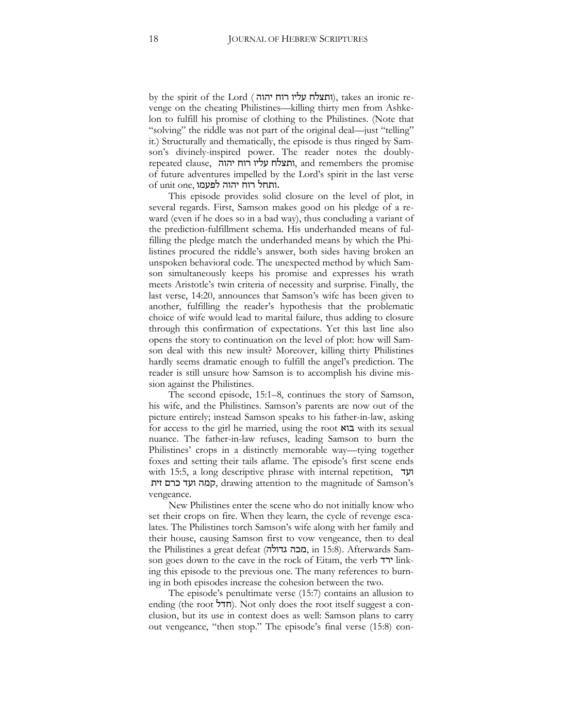by the spirit of the Lord ( ותצלח עליו רוח יהוה), takes an ironic revenge on the cheating Philistines—killing thirty men from Ashkelon to fulfill his promise of clothing to the Philistines. (Note that "solving" the riddle was not part of the original deal—just "telling" it.) Structurally and thematically, the episode is thus ringed by Samson's divinely-inspired power. The reader notes the doubly $r^2$ ותצלח עליו רוח יהוה, and remembers the promise of future adventures impelled by the Lord's spirit in the last verse  $\alpha$ ותחל רוח יהוה לפעמו.

This episode provides solid closure on the level of plot, in several regards. First, Samson makes good on his pledge of a reward (even if he does so in a bad way), thus concluding a variant of the prediction-fulfillment schema. His underhanded means of fulfilling the pledge match the underhanded means by which the Philistines procured the riddle's answer, both sides having broken an unspoken behavioral code. The unexpected method by which Samson simultaneously keeps his promise and expresses his wrath meets Aristotle's twin criteria of necessity and surprise. Finally, the last verse, 14:20, announces that Samson's wife has been given to another, fulfilling the reader's hypothesis that the problematic choice of wife would lead to marital failure, thus adding to closure through this confirmation of expectations. Yet this last line also opens the story to continuation on the level of plot: how will Samson deal with this new insult? Moreover, killing thirty Philistines hardly seems dramatic enough to fulfill the angel's prediction. The reader is still unsure how Samson is to accomplish his divine mission against the Philistines.

The second episode, 15:1–8, continues the story of Samson, his wife, and the Philistines. Samson's parents are now out of the picture entirely; instead Samson speaks to his father-in-law, asking for access to the girl he married, using the root  $\mathbb{X}$  with its sexual nuance. The father-in-law refuses, leading Samson to burn the Philistines' crops in a distinctly memorable way—tying together foxes and setting their tails aflame. The episode's first scene ends with 15:5, a long descriptive phrase with internal repetition,  $\forall$ ='\$-:)3#!/9, drawing attention to the magnitude of Samson's vengeance.

New Philistines enter the scene who do not initially know who set their crops on fire. When they learn, the cycle of revenge escalates. The Philistines torch Samson's wife along with her family and their house, causing Samson first to vow vengeance, then to deal the Philistines a great defeat (מכה גדולה, in 15:8). Afterwards Samson goes down to the cave in the rock of Eitam, the verb ירד ing this episode to the previous one. The many references to burning in both episodes increase the cohesion between the two.

The episode's penultimate verse (15:7) contains an allusion to ending (the root  $\pi$ ). Not only does the root itself suggest a conclusion, but its use in context does as well: Samson plans to carry out vengeance, "then stop." The episode's final verse (15:8) con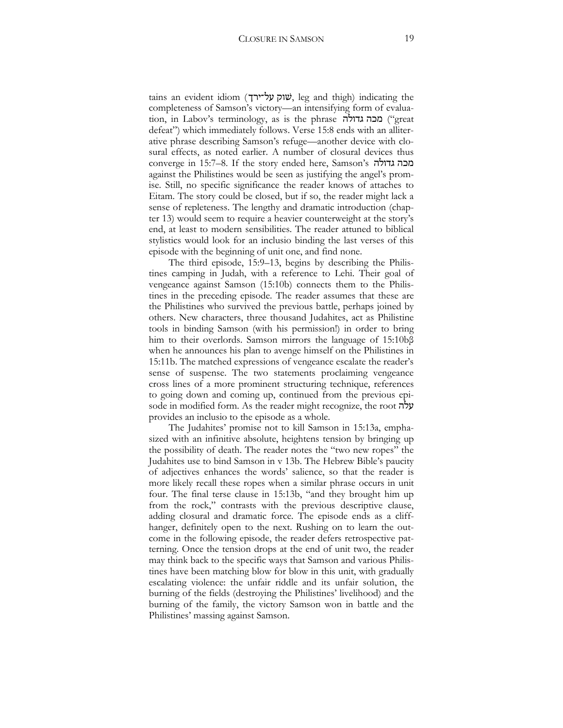tains an evident idiom (שוק על־ירך, leg and thigh) indicating the completeness of Samson's victory—an intensifying form of evaluation, in Labov's terminology, as is the phrase "great") מכה גדולה defeat") which immediately follows. Verse 15:8 ends with an alliterative phrase describing Samson's refuge—another device with closural effects, as noted earlier. A number of closural devices thus converge in 15:7–8. If the story ended here, Samson's !+#!)/ against the Philistines would be seen as justifying the angel's promise. Still, no specific significance the reader knows of attaches to Eitam. The story could be closed, but if so, the reader might lack a sense of repleteness. The lengthy and dramatic introduction (chapter 13) would seem to require a heavier counterweight at the story's end, at least to modern sensibilities. The reader attuned to biblical stylistics would look for an inclusio binding the last verses of this episode with the beginning of unit one, and find none.

The third episode, 15:9–13, begins by describing the Philistines camping in Judah, with a reference to Lehi. Their goal of vengeance against Samson (15:10b) connects them to the Philistines in the preceding episode. The reader assumes that these are the Philistines who survived the previous battle, perhaps joined by others. New characters, three thousand Judahites, act as Philistine tools in binding Samson (with his permission!) in order to bring him to their overlords. Samson mirrors the language of  $15:10b\beta$ when he announces his plan to avenge himself on the Philistines in 15:11b. The matched expressions of vengeance escalate the reader's sense of suspense. The two statements proclaiming vengeance cross lines of a more prominent structuring technique, references to going down and coming up, continued from the previous episode in modified form. As the reader might recognize, the root  $\psi$ provides an inclusio to the episode as a whole.

The Judahites' promise not to kill Samson in 15:13a, emphasized with an infinitive absolute, heightens tension by bringing up the possibility of death. The reader notes the "two new ropes" the Judahites use to bind Samson in v 13b. The Hebrew Bible's paucity of adjectives enhances the words' salience, so that the reader is more likely recall these ropes when a similar phrase occurs in unit four. The final terse clause in 15:13b, "and they brought him up from the rock," contrasts with the previous descriptive clause, adding closural and dramatic force. The episode ends as a cliffhanger, definitely open to the next. Rushing on to learn the outcome in the following episode, the reader defers retrospective patterning. Once the tension drops at the end of unit two, the reader may think back to the specific ways that Samson and various Philistines have been matching blow for blow in this unit, with gradually escalating violence: the unfair riddle and its unfair solution, the burning of the fields (destroying the Philistines' livelihood) and the burning of the family, the victory Samson won in battle and the Philistines' massing against Samson.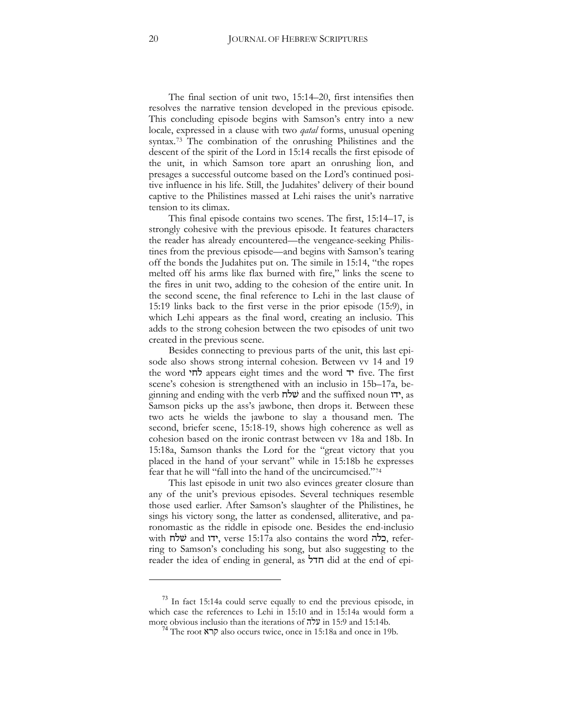The final section of unit two, 15:14–20, first intensifies then resolves the narrative tension developed in the previous episode. This concluding episode begins with Samson's entry into a new locale, expressed in a clause with two *qatal* forms, unusual opening syntax.[73](#page-19-0) The combination of the onrushing Philistines and the descent of the spirit of the Lord in 15:14 recalls the first episode of the unit, in which Samson tore apart an onrushing lion, and presages a successful outcome based on the Lord's continued positive influence in his life. Still, the Judahites' delivery of their bound captive to the Philistines massed at Lehi raises the unit's narrative tension to its climax.

This final episode contains two scenes. The first, 15:14–17, is strongly cohesive with the previous episode. It features characters the reader has already encountered—the vengeance-seeking Philistines from the previous episode—and begins with Samson's tearing off the bonds the Judahites put on. The simile in 15:14, "the ropes melted off his arms like flax burned with fire," links the scene to the fires in unit two, adding to the cohesion of the entire unit. In the second scene, the final reference to Lehi in the last clause of 15:19 links back to the first verse in the prior episode (15:9), in which Lehi appears as the final word, creating an inclusio. This adds to the strong cohesion between the two episodes of unit two created in the previous scene.

Besides connecting to previous parts of the unit, this last episode also shows strong internal cohesion. Between vv 14 and 19 the word  $\forall$ ת' appears eight times and the word  $\forall$  five. The first scene's cohesion is strengthened with an inclusio in 15b–17a, beginning and ending with the verb  $\vec{w}$  and the suffixed noun ", as Samson picks up the ass's jawbone, then drops it. Between these two acts he wields the jawbone to slay a thousand men. The second, briefer scene, 15:18-19, shows high coherence as well as cohesion based on the ironic contrast between vv 18a and 18b. In 15:18a, Samson thanks the Lord for the "great victory that you placed in the hand of your servant" while in 15:18b he expresses fear that he will "fall into the hand of the uncircumcised.["74](#page-19-1)

This last episode in unit two also evinces greater closure than any of the unit's previous episodes. Several techniques resemble those used earlier. After Samson's slaughter of the Philistines, he sings his victory song, the latter as condensed, alliterative, and paronomastic as the riddle in episode one. Besides the end-inclusio with  $\ddot{w}$  and  $\ddot{v}$ , verse 15:17a also contains the word בלה, referring to Samson's concluding his song, but also suggesting to the reader the idea of ending in general, as  $\overline{77}$  did at the end of epi-

 $\ddot{\phantom{a}}$ 

<span id="page-19-1"></span><span id="page-19-0"></span><sup>&</sup>lt;sup>73</sup> In fact 15:14a could serve equally to end the previous episode, in which case the references to Lehi in 15:10 and in 15:14a would form a more obvious inclusio than the iterations of  $\pi$ עלה in 15:9 and 15:14b.<br><sup>74</sup> The root קרא also occurs twice, once in 15:18a and once in 19b.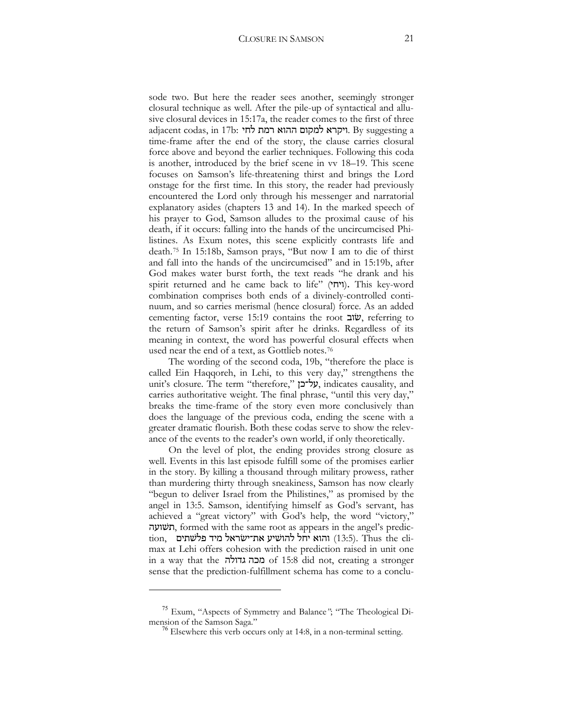sode two. But here the reader sees another, seemingly stronger closural technique as well. After the pile-up of syntactical and allusive closural devices in 15:17a, the reader comes to the first of three  $a$ djacent codas, in 17b: ויקרא למקום ההוא רמת לחי. By suggesting a time-frame after the end of the story, the clause carries closural force above and beyond the earlier techniques. Following this coda is another, introduced by the brief scene in vv 18–19. This scene focuses on Samson's life-threatening thirst and brings the Lord onstage for the first time. In this story, the reader had previously encountered the Lord only through his messenger and narratorial explanatory asides (chapters 13 and 14). In the marked speech of his prayer to God, Samson alludes to the proximal cause of his death, if it occurs: falling into the hands of the uncircumcised Philistines. As Exum notes, this scene explicitly contrasts life and death.[75](#page-20-0) In 15:18b, Samson prays, "But now I am to die of thirst and fall into the hands of the uncircumcised" and in 15:19b, after God makes water burst forth, the text reads "he drank and his spirit returned and he came back to life" (ויחי). This key-word combination comprises both ends of a divinely-controlled continuum, and so carries merismal (hence closural) force. As an added cementing factor, verse  $15:19$  contains the root  $\ddot{w}$ , referring to the return of Samson's spirit after he drinks. Regardless of its meaning in context, the word has powerful closural effects when used near the end of a text, as Gottlieb notes.[76](#page-20-1)

The wording of the second coda, 19b, "therefore the place is called Ein Haqqoreh, in Lehi, to this very day," strengthens the unit's closure. The term "therefore," על־כן, indicates causality, and carries authoritative weight. The final phrase, "until this very day," breaks the time-frame of the story even more conclusively than does the language of the previous coda, ending the scene with a greater dramatic flourish. Both these codas serve to show the relevance of the events to the reader's own world, if only theoretically.

On the level of plot, the ending provides strong closure as well. Events in this last episode fulfill some of the promises earlier in the story. By killing a thousand through military prowess, rather than murdering thirty through sneakiness, Samson has now clearly "begun to deliver Israel from the Philistines," as promised by the angel in 13:5. Samson, identifying himself as God's servant, has achieved a "great victory" with God's help, the word "victory," תשועה, formed with the same root as appears in the angel's predic- $\,$ tion, - נהוא יחל להושיע את־ישראל מיד פלשתים (13:5). Thus the climax at Lehi offers cohesion with the prediction raised in unit one in a way that the !+#!)/ of 15:8 did not, creating a stronger sense that the prediction-fulfillment schema has come to a conclu-

<span id="page-20-1"></span><span id="page-20-0"></span><sup>&</sup>lt;sup>75</sup> Exum, "Aspects of Symmetry and Balance"; "The Theological Di-<br>mension of the Samson Saga."

 $\mu$ <sup>6</sup> Elsewhere this verb occurs only at 14:8, in a non-terminal setting.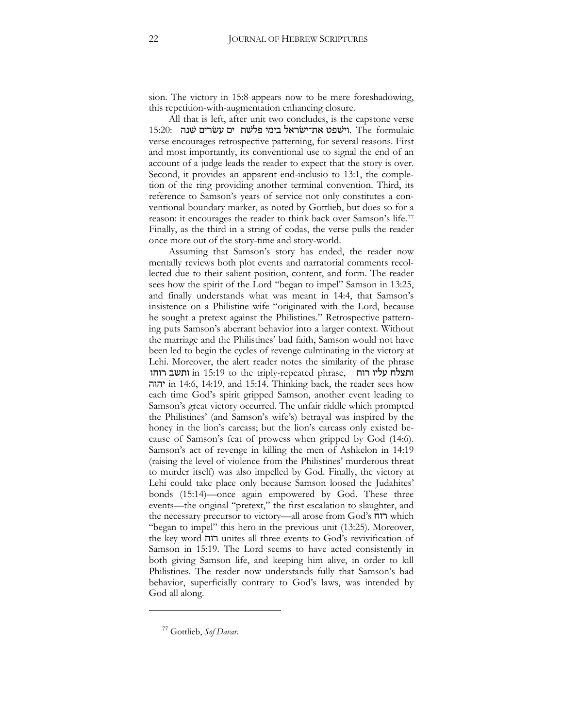sion. The victory in 15:8 appears now to be mere foreshadowing, this repetition-with-augmentation enhancing closure.

All that is left, after unit two concludes, is the capstone verse וישפט את־ישׂראל בימי פלשת ים עשרים שנה. The formulaic verse encourages retrospective patterning, for several reasons. First and most importantly, its conventional use to signal the end of an account of a judge leads the reader to expect that the story is over. Second, it provides an apparent end-inclusio to 13:1, the completion of the ring providing another terminal convention. Third, its reference to Samson's years of service not only constitutes a conventional boundary marker, as noted by Gottlieb, but does so for a reason: it encourages the reader to think back over Samson's life.[77](#page-21-0) Finally, as the third in a string of codas, the verse pulls the reader once more out of the story-time and story-world.

Assuming that Samson's story has ended, the reader now mentally reviews both plot events and narratorial comments recollected due to their salient position, content, and form. The reader sees how the spirit of the Lord "began to impel" Samson in 13:25, and finally understands what was meant in 14:4, that Samson's insistence on a Philistine wife "originated with the Lord, because he sought a pretext against the Philistines." Retrospective patterning puts Samson's aberrant behavior into a larger context. Without the marriage and the Philistines' bad faith, Samson would not have been led to begin the cycles of revenge culminating in the victory at Lehi. Moreover, the alert reader notes the similarity of the phrase ותצלח עליו רוח $\,$  in 15:19 to the triply-repeated phrase,  $\,$  ותשב רוחו !#!' in 14:6, 14:19, and 15:14. Thinking back, the reader sees how each time God's spirit gripped Samson, another event leading to Samson's great victory occurred. The unfair riddle which prompted the Philistines' (and Samson's wife's) betrayal was inspired by the honey in the lion's carcass; but the lion's carcass only existed because of Samson's feat of prowess when gripped by God (14:6). Samson's act of revenge in killing the men of Ashkelon in 14:19 (raising the level of violence from the Philistines' murderous threat to murder itself) was also impelled by God. Finally, the victory at Lehi could take place only because Samson loosed the Judahites' bonds (15:14)—once again empowered by God. These three events—the original "pretext," the first escalation to slaughter, and the necessary precursor to victory—all arose from God's  $\pi$ הוח which "began to impel" this hero in the previous unit (13:25). Moreover, the key word  $\pi$ ווה unites all three events to God's revivification of Samson in 15:19. The Lord seems to have acted consistently in both giving Samson life, and keeping him alive, in order to kill Philistines. The reader now understands fully that Samson's bad behavior, superficially contrary to God's laws, was intended by God all along.

<span id="page-21-0"></span> $\ddot{\phantom{a}}$ 

<sup>77</sup> Gottlieb, *Sof Davar*.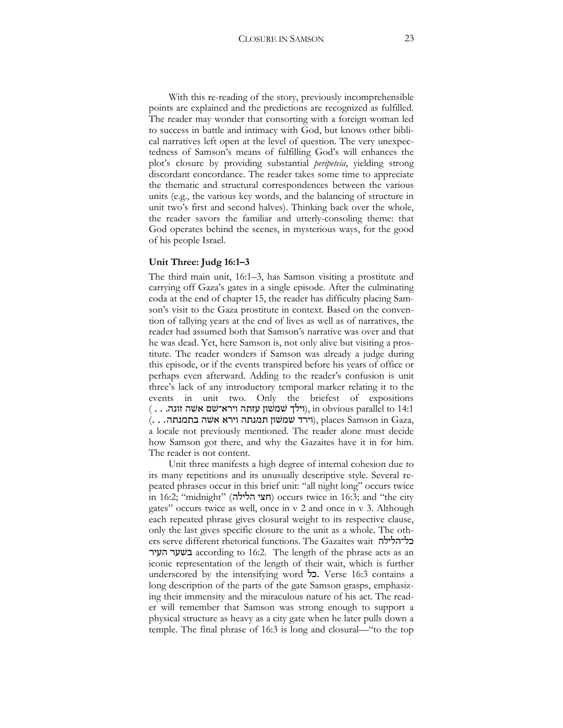With this re-reading of the story, previously incomprehensible points are explained and the predictions are recognized as fulfilled. The reader may wonder that consorting with a foreign woman led to success in battle and intimacy with God, but knows other biblical narratives left open at the level of question. The very unexpectedness of Samson's means of fulfilling God's will enhances the plot's closure by providing substantial *peripeteia*, yielding strong discordant concordance. The reader takes some time to appreciate the thematic and structural correspondences between the various units (e.g., the various key words, and the balancing of structure in unit two's first and second halves). Thinking back over the whole, the reader savors the familiar and utterly-consoling theme: that God operates behind the scenes, in mysterious ways, for the good of his people Israel.

#### **Unit Three: Judg 16:1–3**

The third main unit, 16:1–3, has Samson visiting a prostitute and carrying off Gaza's gates in a single episode. After the culminating coda at the end of chapter 15, the reader has difficulty placing Samson's visit to the Gaza prostitute in context. Based on the convention of tallying years at the end of lives as well as of narratives, the reader had assumed both that Samson's narrative was over and that he was dead. Yet, here Samson is, not only alive but visiting a prostitute. The reader wonders if Samson was already a judge during this episode, or if the events transpired before his years of office or perhaps even afterward. Adding to the reader's confusion is unit three's lack of any introductory temporal marker relating it to the events in unit two. Only the briefest of expositions  $( \dots, \dots)$ וילך שמשון עזתה וירא־שם אשה זונה), in obvious parallel to 14:1  $(1 \ldots, 1)$ וירד שמשון תמנתה וירא אשה בתמנתה), places Samson in Gaza, a locale not previously mentioned. The reader alone must decide how Samson got there, and why the Gazaites have it in for him. The reader is not content.

Unit three manifests a high degree of internal cohesion due to its many repetitions and its unusually descriptive style. Several repeated phrases occur in this brief unit: "all night long" occurs twice in 16:2; "midnight" (חצי הלילה) occurs twice in 16:3; and "the city gates" occurs twice as well, once in v 2 and once in v 3. Although each repeated phrase gives closural weight to its respective clause, only the last gives specific closure to the unit as a whole. The others serve different rhetorical functions. The Gazaites wait בל־הלילה :'3!:3f according to 16:2. The length of the phrase acts as an iconic representation of the length of their wait, which is further underscored by the intensifying word  $\sim$ . Verse 16:3 contains a long description of the parts of the gate Samson grasps, emphasizing their immensity and the miraculous nature of his act. The reader will remember that Samson was strong enough to support a physical structure as heavy as a city gate when he later pulls down a temple. The final phrase of 16:3 is long and closural—"to the top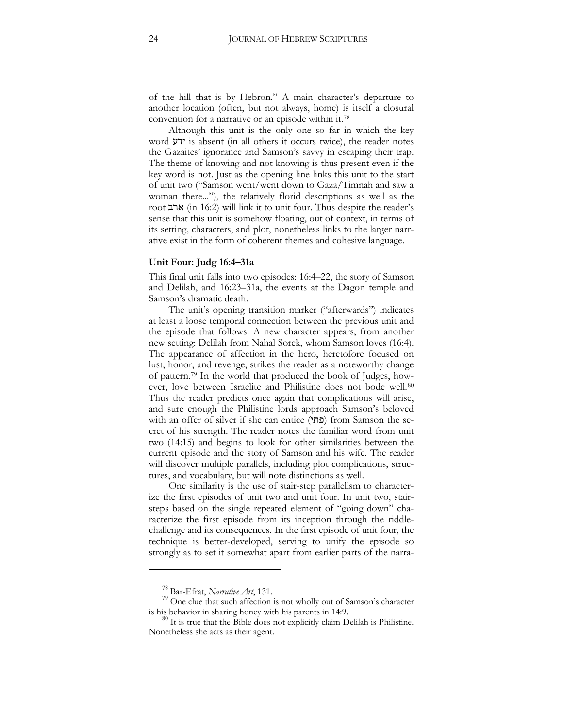of the hill that is by Hebron." A main character's departure to another location (often, but not always, home) is itself a closural convention for a narrative or an episode within it.[78](#page-23-0)

Although this unit is the only one so far in which the key word  $y$ ' is absent (in all others it occurs twice), the reader notes the Gazaites' ignorance and Samson's savvy in escaping their trap. The theme of knowing and not knowing is thus present even if the key word is not. Just as the opening line links this unit to the start of unit two ("Samson went/went down to Gaza/Timnah and saw a woman there..."), the relatively florid descriptions as well as the root ארב (in 16:2) will link it to unit four. Thus despite the reader's sense that this unit is somehow floating, out of context, in terms of its setting, characters, and plot, nonetheless links to the larger narrative exist in the form of coherent themes and cohesive language.

#### **Unit Four: Judg 16:4–31a**

This final unit falls into two episodes: 16:4–22, the story of Samson and Delilah, and 16:23–31a, the events at the Dagon temple and Samson's dramatic death.

The unit's opening transition marker ("afterwards") indicates at least a loose temporal connection between the previous unit and the episode that follows. A new character appears, from another new setting: Delilah from Nahal Sorek, whom Samson loves (16:4). The appearance of affection in the hero, heretofore focused on lust, honor, and revenge, strikes the reader as a noteworthy change of pattern.[79](#page-23-1) In the world that produced the book of Judges, how-ever, love between Israelite and Philistine does not bode well.<sup>[80](#page-23-2)</sup> Thus the reader predicts once again that complications will arise, and sure enough the Philistine lords approach Samson's beloved with an offer of silver if she can entice (פתו) from Samson the secret of his strength. The reader notes the familiar word from unit two (14:15) and begins to look for other similarities between the current episode and the story of Samson and his wife. The reader will discover multiple parallels, including plot complications, structures, and vocabulary, but will note distinctions as well.

One similarity is the use of stair-step parallelism to characterize the first episodes of unit two and unit four. In unit two, stairsteps based on the single repeated element of "going down" characterize the first episode from its inception through the riddlechallenge and its consequences. In the first episode of unit four, the technique is better-developed, serving to unify the episode so strongly as to set it somewhat apart from earlier parts of the narra-

<span id="page-23-1"></span><span id="page-23-0"></span><sup>78</sup> Bar-Efrat, *Narrative Art*, 131. <sup>79</sup> One clue that such affection is not wholly out of Samson's character

<span id="page-23-2"></span>is his behavior in sharing honey with his parents in 14:9.<br><sup>80</sup> It is true that the Bible does not explicitly claim Delilah is Philistine. Nonetheless she acts as their agent.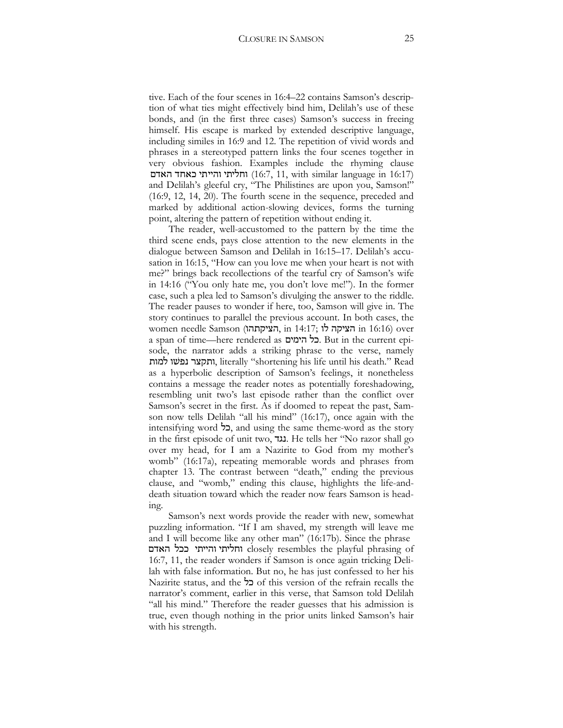tive. Each of the four scenes in 16:4–22 contains Samson's description of what ties might effectively bind him, Delilah's use of these bonds, and (in the first three cases) Samson's success in freeing himself. His escape is marked by extended descriptive language, including similes in 16:9 and 12. The repetition of vivid words and phrases in a stereotyped pattern links the four scenes together in very obvious fashion. Examples include the rhyming clause וחליתי והייתי כאחד האדם (16:7, 11, with similar language in 16:17) and Delilah's gleeful cry, "The Philistines are upon you, Samson!" (16:9, 12, 14, 20). The fourth scene in the sequence, preceded and marked by additional action-slowing devices, forms the turning point, altering the pattern of repetition without ending it.

The reader, well-accustomed to the pattern by the time the third scene ends, pays close attention to the new elements in the dialogue between Samson and Delilah in 16:15–17. Delilah's accusation in 16:15, "How can you love me when your heart is not with me?" brings back recollections of the tearful cry of Samson's wife in 14:16 ("You only hate me, you don't love me!"). In the former case, such a plea led to Samson's divulging the answer to the riddle. The reader pauses to wonder if here, too, Samson will give in. The story continues to parallel the previous account. In both cases, the women needle Samson (הציקתהוֹ, in 14:17; הוא הציקה in 16:16) over a span of time—here rendered as בל הימים. But in the current episode, the narrator adds a striking phrase to the verse, namely ותקצר נפשו למות, literally "shortening his life until his death." Read as a hyperbolic description of Samson's feelings, it nonetheless contains a message the reader notes as potentially foreshadowing, resembling unit two's last episode rather than the conflict over Samson's secret in the first. As if doomed to repeat the past, Samson now tells Delilah "all his mind" (16:17), once again with the intensifying word  $\sim$ , and using the same theme-word as the story in the first episode of unit two, 1. He tells her "No razor shall go over my head, for I am a Nazirite to God from my mother's womb" (16:17a), repeating memorable words and phrases from chapter 13. The contrast between "death," ending the previous clause, and "womb," ending this clause, highlights the life-anddeath situation toward which the reader now fears Samson is heading.

Samson's next words provide the reader with new, somewhat puzzling information. "If I am shaved, my strength will leave me and I will become like any other man" (16:17b). Since the phrase וחליתי והייתי ככל האדם closely resembles the playful phrasing of 16:7, 11, the reader wonders if Samson is once again tricking Delilah with false information. But no, he has just confessed to her his Nazirite status, and the +) of this version of the refrain recalls the narrator's comment, earlier in this verse, that Samson told Delilah "all his mind." Therefore the reader guesses that his admission is true, even though nothing in the prior units linked Samson's hair with his strength.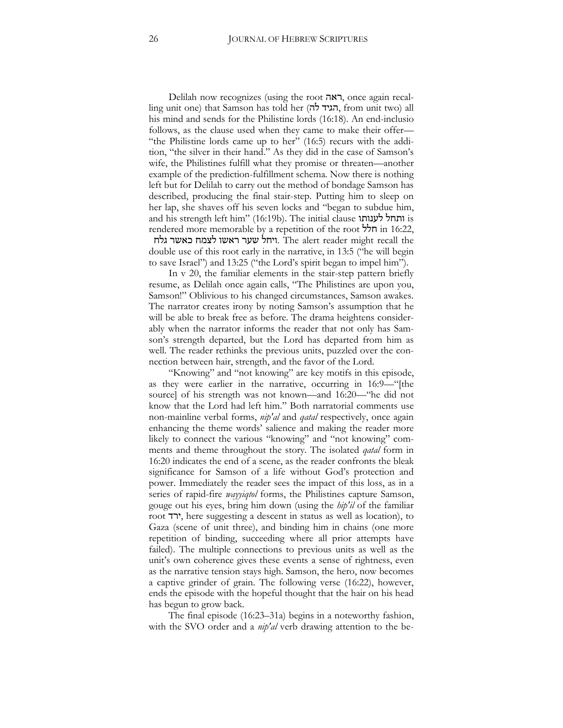Delilah now recognizes (using the root ראה, once again recalling unit one) that Samson has told her (הגיד לה, from unit two) all his mind and sends for the Philistine lords (16:18). An end-inclusio follows, as the clause used when they came to make their offer— "the Philistine lords came up to her" (16:5) recurs with the addition, "the silver in their hand." As they did in the case of Samson's wife, the Philistines fulfill what they promise or threaten—another example of the prediction-fulfillment schema. Now there is nothing left but for Delilah to carry out the method of bondage Samson has described, producing the final stair-step. Putting him to sleep on her lap, she shaves off his seven locks and "began to subdue him, and his strength left him" (16:19b). The initial clause  $\frac{1}{3}$  is rendered more memorable by a repetition of the root  $\overleftrightarrow{D}$  in 16:22,

ויחל שער ראשו לצמח כאשר גלח. The alert reader might recall the double use of this root early in the narrative, in 13:5 ("he will begin to save Israel") and 13:25 ("the Lord's spirit began to impel him").

In v 20, the familiar elements in the stair-step pattern briefly resume, as Delilah once again calls, "The Philistines are upon you, Samson!" Oblivious to his changed circumstances, Samson awakes. The narrator creates irony by noting Samson's assumption that he will be able to break free as before. The drama heightens considerably when the narrator informs the reader that not only has Samson's strength departed, but the Lord has departed from him as well. The reader rethinks the previous units, puzzled over the connection between hair, strength, and the favor of the Lord.

"Knowing" and "not knowing" are key motifs in this episode, as they were earlier in the narrative, occurring in 16:9—"[the source] of his strength was not known—and 16:20—"he did not know that the Lord had left him." Both narratorial comments use non-mainline verbal forms, *nip'al* and *qatal* respectively, once again enhancing the theme words' salience and making the reader more likely to connect the various "knowing" and "not knowing" comments and theme throughout the story. The isolated *qatal* form in 16:20 indicates the end of a scene, as the reader confronts the bleak significance for Samson of a life without God's protection and power. Immediately the reader sees the impact of this loss, as in a series of rapid-fire *wayyiqtol* forms, the Philistines capture Samson, gouge out his eyes, bring him down (using the *hip'il* of the familiar root :', here suggesting a descent in status as well as location), to Gaza (scene of unit three), and binding him in chains (one more repetition of binding, succeeding where all prior attempts have failed). The multiple connections to previous units as well as the unit's own coherence gives these events a sense of rightness, even as the narrative tension stays high. Samson, the hero, now becomes a captive grinder of grain. The following verse (16:22), however, ends the episode with the hopeful thought that the hair on his head has begun to grow back.

The final episode (16:23–31a) begins in a noteworthy fashion, with the SVO order and a *nip'al* verb drawing attention to the be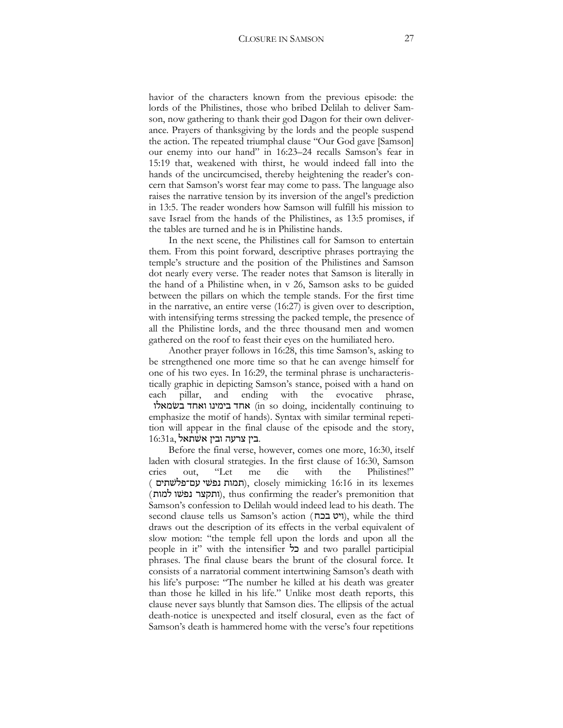havior of the characters known from the previous episode: the lords of the Philistines, those who bribed Delilah to deliver Samson, now gathering to thank their god Dagon for their own deliverance. Prayers of thanksgiving by the lords and the people suspend the action. The repeated triumphal clause "Our God gave [Samson] our enemy into our hand" in 16:23–24 recalls Samson's fear in 15:19 that, weakened with thirst, he would indeed fall into the hands of the uncircumcised, thereby heightening the reader's concern that Samson's worst fear may come to pass. The language also raises the narrative tension by its inversion of the angel's prediction in 13:5. The reader wonders how Samson will fulfill his mission to save Israel from the hands of the Philistines, as 13:5 promises, if the tables are turned and he is in Philistine hands.

In the next scene, the Philistines call for Samson to entertain them. From this point forward, descriptive phrases portraying the temple's structure and the position of the Philistines and Samson dot nearly every verse. The reader notes that Samson is literally in the hand of a Philistine when, in v 26, Samson asks to be guided between the pillars on which the temple stands. For the first time in the narrative, an entire verse (16:27) is given over to description, with intensifying terms stressing the packed temple, the presence of all the Philistine lords, and the three thousand men and women gathered on the roof to feast their eyes on the humiliated hero.

Another prayer follows in 16:28, this time Samson's, asking to be strengthened one more time so that he can avenge himself for one of his two eyes. In 16:29, the terminal phrase is uncharacteristically graphic in depicting Samson's stance, poised with a hand on each pillar, and ending with the evocative phrase, אחד בימינו ואחד בשמאלו (in so doing, incidentally continuing to emphasize the motif of hands). Syntax with similar terminal repetition will appear in the final clause of the episode and the story, בין צרעה ובין אשתאל.

Before the final verse, however, comes one more, 16:30, itself laden with closural strategies. In the first clause of 16:30, Samson cries out, "Let me die with the Philistines!" ( תמות נפשי עם־פלשתים), closely mimicking 16:16 in its lexemes (ותקצר נפשו למות), thus confirming the reader's premonition that Samson's confession to Delilah would indeed lead to his death. The second clause tells us Samson's action (ויט בכח), while the third draws out the description of its effects in the verbal equivalent of slow motion: "the temple fell upon the lords and upon all the people in it" with the intensifier  $\sharp$  and two parallel participial phrases. The final clause bears the brunt of the closural force. It consists of a narratorial comment intertwining Samson's death with his life's purpose: "The number he killed at his death was greater than those he killed in his life." Unlike most death reports, this clause never says bluntly that Samson dies. The ellipsis of the actual death-notice is unexpected and itself closural, even as the fact of Samson's death is hammered home with the verse's four repetitions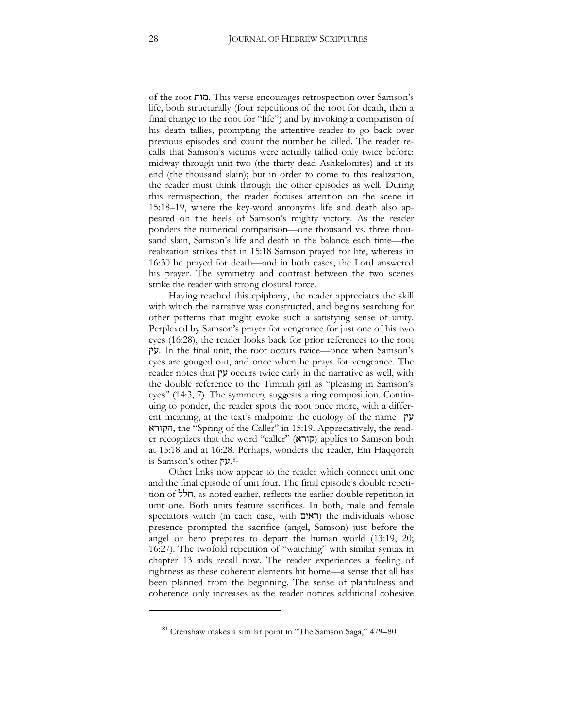of the root =#/. This verse encourages retrospection over Samson's life, both structurally (four repetitions of the root for death, then a final change to the root for "life") and by invoking a comparison of his death tallies, prompting the attentive reader to go back over previous episodes and count the number he killed. The reader recalls that Samson's victims were actually tallied only twice before: midway through unit two (the thirty dead Ashkelonites) and at its end (the thousand slain); but in order to come to this realization, the reader must think through the other episodes as well. During this retrospection, the reader focuses attention on the scene in 15:18–19, where the key-word antonyms life and death also appeared on the heels of Samson's mighty victory. As the reader ponders the numerical comparison—one thousand vs. three thousand slain, Samson's life and death in the balance each time—the realization strikes that in 15:18 Samson prayed for life, whereas in 16:30 he prayed for death—and in both cases, the Lord answered his prayer. The symmetry and contrast between the two scenes strike the reader with strong closural force.

Having reached this epiphany, the reader appreciates the skill with which the narrative was constructed, and begins searching for other patterns that might evoke such a satisfying sense of unity. Perplexed by Samson's prayer for vengeance for just one of his two eyes (16:28), the reader looks back for prior references to the root 0'3. In the final unit, the root occurs twice—once when Samson's eyes are gouged out, and once when he prays for vengeance. The reader notes that 0'3 occurs twice early in the narrative as well, with the double reference to the Timnah girl as "pleasing in Samson's eyes" (14:3, 7). The symmetry suggests a ring composition. Continuing to ponder, the reader spots the root once more, with a different meaning, at the text's midpoint: the etiology of the name  $\gamma$ :#9!, the "Spring of the Caller" in 15:19. Appreciatively, the reader recognizes that the word "caller" (קורא) applies to Samson both at 15:18 and at 16:28. Perhaps, wonders the reader, Ein Haqqoreh  $i$ is Samson's other 2.[81](#page-27-0)

Other links now appear to the reader which connect unit one and the final episode of unit four. The final episode's double repetition of  $\frac{1}{2}$ , as noted earlier, reflects the earlier double repetition in unit one. Both units feature sacrifices. In both, male and female spectators watch (in each case, with  $(\text{in each case})$  the individuals whose presence prompted the sacrifice (angel, Samson) just before the angel or hero prepares to depart the human world  $(13:19, 20)$ ; 16:27). The twofold repetition of "watching" with similar syntax in chapter 13 aids recall now. The reader experiences a feeling of rightness as these coherent elements hit home—a sense that all has been planned from the beginning. The sense of planfulness and coherence only increases as the reader notices additional cohesive

<span id="page-27-0"></span> $\ddot{\phantom{a}}$ 

<sup>81</sup> Crenshaw makes a similar point in "The Samson Saga," 479–80.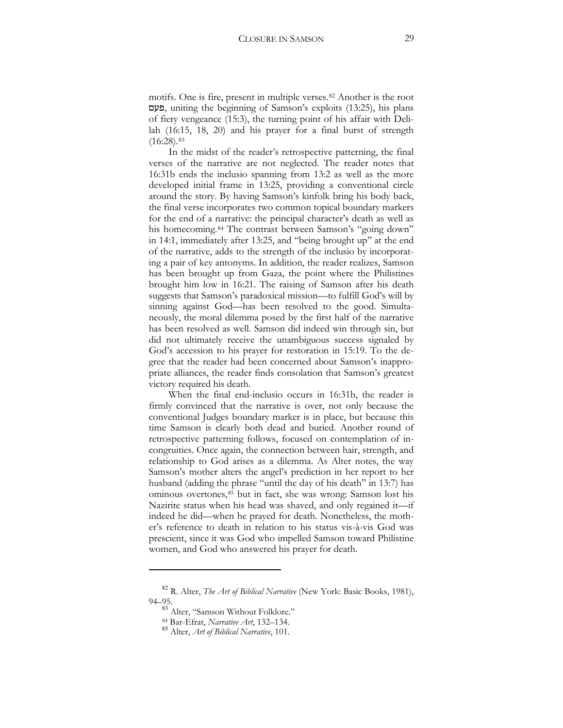motifs. One is fire, present in multiple verses.[82](#page-28-0) Another is the root פעם, uniting the beginning of Samson's exploits (13:25), his plans of fiery vengeance (15:3), the turning point of his affair with Delilah (16:15, 18, 20) and his prayer for a final burst of strength  $(16:28).$ <sup>[83](#page-28-1)</sup>

In the midst of the reader's retrospective patterning, the final verses of the narrative are not neglected. The reader notes that 16:31b ends the inclusio spanning from 13:2 as well as the more developed initial frame in 13:25, providing a conventional circle around the story. By having Samson's kinfolk bring his body back, the final verse incorporates two common topical boundary markers for the end of a narrative: the principal character's death as well as his homecoming.<sup>[84](#page-28-2)</sup> The contrast between Samson's "going down" in 14:1, immediately after 13:25, and "being brought up" at the end of the narrative, adds to the strength of the inclusio by incorporating a pair of key antonyms. In addition, the reader realizes, Samson has been brought up from Gaza, the point where the Philistines brought him low in 16:21. The raising of Samson after his death suggests that Samson's paradoxical mission—to fulfill God's will by sinning against God—has been resolved to the good. Simultaneously, the moral dilemma posed by the first half of the narrative has been resolved as well. Samson did indeed win through sin, but did not ultimately receive the unambiguous success signaled by God's accession to his prayer for restoration in 15:19. To the degree that the reader had been concerned about Samson's inappropriate alliances, the reader finds consolation that Samson's greatest victory required his death.

When the final end-inclusio occurs in 16:31b, the reader is firmly convinced that the narrative is over, not only because the conventional Judges boundary marker is in place, but because this time Samson is clearly both dead and buried. Another round of retrospective patterning follows, focused on contemplation of incongruities. Once again, the connection between hair, strength, and relationship to God arises as a dilemma. As Alter notes, the way Samson's mother alters the angel's prediction in her report to her husband (adding the phrase "until the day of his death" in 13:7) has ominous overtones,[85](#page-28-3) but in fact, she was wrong: Samson lost his Nazirite status when his head was shaved, and only regained it—if indeed he did—when he prayed for death. Nonetheless, the mother's reference to death in relation to his status vis-à-vis God was prescient, since it was God who impelled Samson toward Philistine women, and God who answered his prayer for death.

<span id="page-28-3"></span><span id="page-28-2"></span><span id="page-28-1"></span><span id="page-28-0"></span><sup>82</sup> R. Alter, *The Art of Biblical Narrative* (New York: Basic Books, 1981), 94–95.

<sup>&</sup>lt;sup>83</sup> Alter, "Samson Without Folklore."<br><sup>84</sup> Bar-Efrat, *Narrative Art*, 132–134.

<sup>&</sup>lt;sup>85</sup> Alter, *Art of Biblical Narrative*, 101.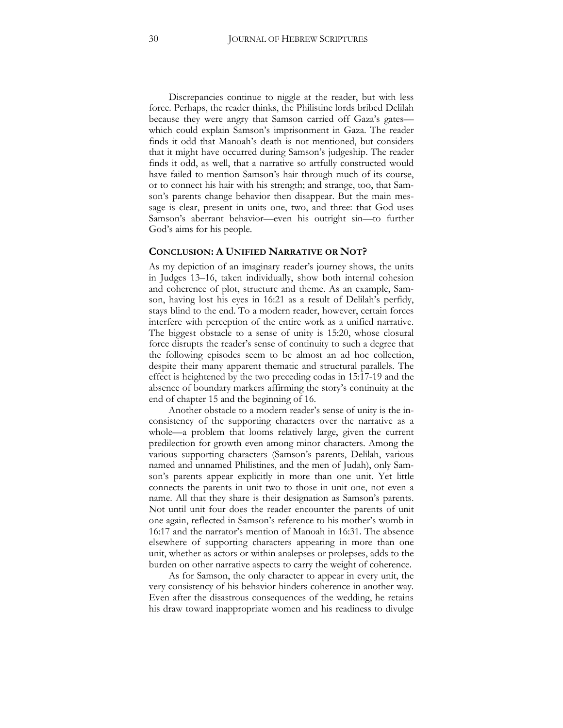Discrepancies continue to niggle at the reader, but with less force. Perhaps, the reader thinks, the Philistine lords bribed Delilah because they were angry that Samson carried off Gaza's gates which could explain Samson's imprisonment in Gaza. The reader finds it odd that Manoah's death is not mentioned, but considers that it might have occurred during Samson's judgeship. The reader finds it odd, as well, that a narrative so artfully constructed would have failed to mention Samson's hair through much of its course, or to connect his hair with his strength; and strange, too, that Samson's parents change behavior then disappear. But the main message is clear, present in units one, two, and three: that God uses Samson's aberrant behavior—even his outright sin—to further God's aims for his people.

#### **CONCLUSION: A UNIFIED NARRATIVE OR NOT?**

As my depiction of an imaginary reader's journey shows, the units in Judges 13–16, taken individually, show both internal cohesion and coherence of plot, structure and theme. As an example, Samson, having lost his eyes in 16:21 as a result of Delilah's perfidy, stays blind to the end. To a modern reader, however, certain forces interfere with perception of the entire work as a unified narrative. The biggest obstacle to a sense of unity is 15:20, whose closural force disrupts the reader's sense of continuity to such a degree that the following episodes seem to be almost an ad hoc collection, despite their many apparent thematic and structural parallels. The effect is heightened by the two preceding codas in 15:17-19 and the absence of boundary markers affirming the story's continuity at the end of chapter 15 and the beginning of 16.

Another obstacle to a modern reader's sense of unity is the inconsistency of the supporting characters over the narrative as a whole—a problem that looms relatively large, given the current predilection for growth even among minor characters. Among the various supporting characters (Samson's parents, Delilah, various named and unnamed Philistines, and the men of Judah), only Samson's parents appear explicitly in more than one unit. Yet little connects the parents in unit two to those in unit one, not even a name. All that they share is their designation as Samson's parents. Not until unit four does the reader encounter the parents of unit one again, reflected in Samson's reference to his mother's womb in 16:17 and the narrator's mention of Manoah in 16:31. The absence elsewhere of supporting characters appearing in more than one unit, whether as actors or within analepses or prolepses, adds to the burden on other narrative aspects to carry the weight of coherence.

As for Samson, the only character to appear in every unit, the very consistency of his behavior hinders coherence in another way. Even after the disastrous consequences of the wedding, he retains his draw toward inappropriate women and his readiness to divulge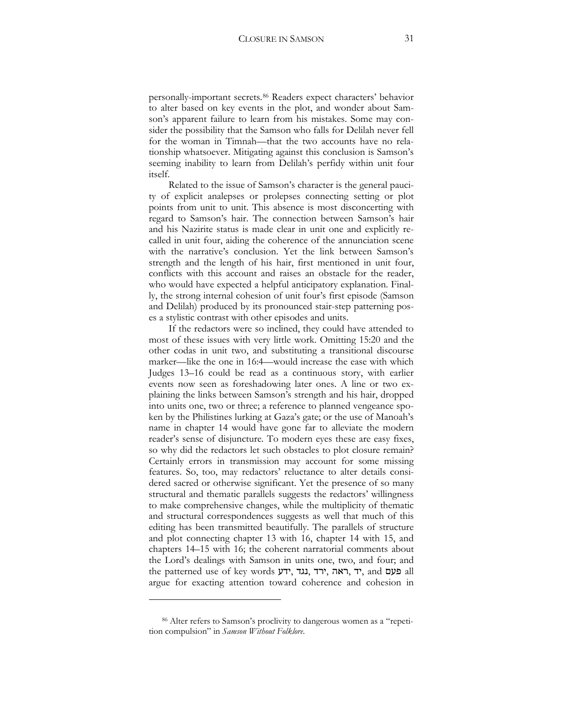personally-important secrets.[86](#page-30-0) Readers expect characters' behavior to alter based on key events in the plot, and wonder about Samson's apparent failure to learn from his mistakes. Some may consider the possibility that the Samson who falls for Delilah never fell for the woman in Timnah—that the two accounts have no relationship whatsoever. Mitigating against this conclusion is Samson's seeming inability to learn from Delilah's perfidy within unit four itself.

Related to the issue of Samson's character is the general paucity of explicit analepses or prolepses connecting setting or plot points from unit to unit. This absence is most disconcerting with regard to Samson's hair. The connection between Samson's hair and his Nazirite status is made clear in unit one and explicitly recalled in unit four, aiding the coherence of the annunciation scene with the narrative's conclusion. Yet the link between Samson's strength and the length of his hair, first mentioned in unit four, conflicts with this account and raises an obstacle for the reader, who would have expected a helpful anticipatory explanation. Finally, the strong internal cohesion of unit four's first episode (Samson and Delilah) produced by its pronounced stair-step patterning poses a stylistic contrast with other episodes and units.

If the redactors were so inclined, they could have attended to most of these issues with very little work. Omitting 15:20 and the other codas in unit two, and substituting a transitional discourse marker—like the one in 16:4—would increase the ease with which Judges 13–16 could be read as a continuous story, with earlier events now seen as foreshadowing later ones. A line or two explaining the links between Samson's strength and his hair, dropped into units one, two or three; a reference to planned vengeance spoken by the Philistines lurking at Gaza's gate; or the use of Manoah's name in chapter 14 would have gone far to alleviate the modern reader's sense of disjuncture. To modern eyes these are easy fixes, so why did the redactors let such obstacles to plot closure remain? Certainly errors in transmission may account for some missing features. So, too, may redactors' reluctance to alter details considered sacred or otherwise significant. Yet the presence of so many structural and thematic parallels suggests the redactors' willingness to make comprehensive changes, while the multiplicity of thematic and structural correspondences suggests as well that much of this editing has been transmitted beautifully. The parallels of structure and plot connecting chapter 13 with 16, chapter 14 with 15, and chapters 14–15 with 16; the coherent narratorial comments about the Lord's dealings with Samson in units one, two, and four; and the patterned use of key words יד, גגד, ירד, אה, ירד, and פעם all argue for exacting attention toward coherence and cohesion in

<span id="page-30-0"></span><sup>86</sup> Alter refers to Samson's proclivity to dangerous women as a "repetition compulsion" in *Samson Without Folklore*.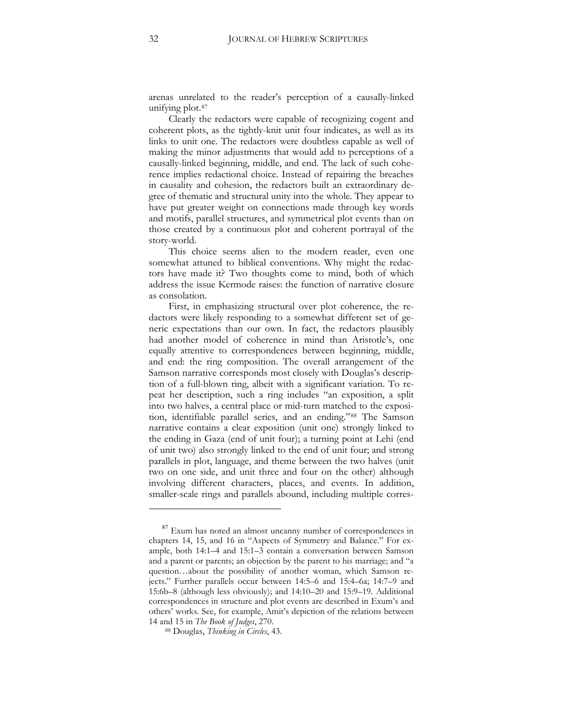arenas unrelated to the reader's perception of a causally-linked unifying plot.<sup>[87](#page-31-0)</sup>

Clearly the redactors were capable of recognizing cogent and coherent plots, as the tightly-knit unit four indicates, as well as its links to unit one. The redactors were doubtless capable as well of making the minor adjustments that would add to perceptions of a causally-linked beginning, middle, and end. The lack of such coherence implies redactional choice. Instead of repairing the breaches in causality and cohesion, the redactors built an extraordinary degree of thematic and structural unity into the whole. They appear to have put greater weight on connections made through key words and motifs, parallel structures, and symmetrical plot events than on those created by a continuous plot and coherent portrayal of the story-world.

This choice seems alien to the modern reader, even one somewhat attuned to biblical conventions. Why might the redactors have made it? Two thoughts come to mind, both of which address the issue Kermode raises: the function of narrative closure as consolation.

First, in emphasizing structural over plot coherence, the redactors were likely responding to a somewhat different set of generic expectations than our own. In fact, the redactors plausibly had another model of coherence in mind than Aristotle's, one equally attentive to correspondences between beginning, middle, and end: the ring composition. The overall arrangement of the Samson narrative corresponds most closely with Douglas's description of a full-blown ring, albeit with a significant variation. To repeat her description, such a ring includes "an exposition, a split into two halves, a central place or mid-turn matched to the exposition, identifiable parallel series, and an ending."[88](#page-31-1) The Samson narrative contains a clear exposition (unit one) strongly linked to the ending in Gaza (end of unit four); a turning point at Lehi (end of unit two) also strongly linked to the end of unit four; and strong parallels in plot, language, and theme between the two halves (unit two on one side, and unit three and four on the other) although involving different characters, places, and events. In addition, smaller-scale rings and parallels abound, including multiple corres-

 $\ddot{\phantom{a}}$ 

<span id="page-31-0"></span><sup>&</sup>lt;sup>87</sup> Exum has noted an almost uncanny number of correspondences in chapters 14, 15, and 16 in "Aspects of Symmetry and Balance." For example, both 14:1–4 and 15:1–3 contain a conversation between Samson and a parent or parents; an objection by the parent to his marriage; and "a question…about the possibility of another woman, which Samson rejects." Further parallels occur between 14:5–6 and 15:4–6a; 14:7–9 and 15:6b–8 (although less obviously); and  $14:10-20$  and  $15:9-19$ . Additional correspondences in structure and plot events are described in Exum's and others' works. See, for example, Amit's depiction of the relations between

<span id="page-31-1"></span><sup>14</sup> and 15 in *The Book of Judges*, 270. 88 Douglas, *Thinking in Circles*, 43.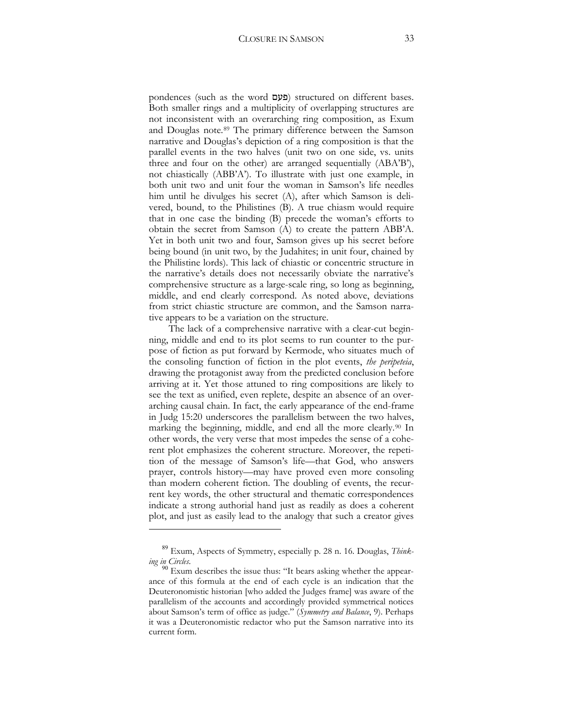pondences (such as the word  $\Xi$ פעם) structured on different bases. Both smaller rings and a multiplicity of overlapping structures are not inconsistent with an overarching ring composition, as Exum and Douglas note.[89](#page-32-0) The primary difference between the Samson narrative and Douglas's depiction of a ring composition is that the parallel events in the two halves (unit two on one side, vs. units three and four on the other) are arranged sequentially (ABA'B'), not chiastically (ABB'A'). To illustrate with just one example, in both unit two and unit four the woman in Samson's life needles him until he divulges his secret (A), after which Samson is delivered, bound, to the Philistines (B). A true chiasm would require that in one case the binding (B) precede the woman's efforts to obtain the secret from Samson (A) to create the pattern ABB'A. Yet in both unit two and four, Samson gives up his secret before being bound (in unit two, by the Judahites; in unit four, chained by the Philistine lords). This lack of chiastic or concentric structure in the narrative's details does not necessarily obviate the narrative's comprehensive structure as a large-scale ring, so long as beginning, middle, and end clearly correspond. As noted above, deviations from strict chiastic structure are common, and the Samson narrative appears to be a variation on the structure.

The lack of a comprehensive narrative with a clear-cut beginning, middle and end to its plot seems to run counter to the purpose of fiction as put forward by Kermode, who situates much of the consoling function of fiction in the plot events, *the peripeteia*, drawing the protagonist away from the predicted conclusion before arriving at it. Yet those attuned to ring compositions are likely to see the text as unified, even replete, despite an absence of an overarching causal chain. In fact, the early appearance of the end-frame in Judg 15:20 underscores the parallelism between the two halves, marking the beginning, middle, and end all the more clearly.[90](#page-32-1) In other words, the very verse that most impedes the sense of a coherent plot emphasizes the coherent structure. Moreover, the repetition of the message of Samson's life—that God, who answers prayer, controls history—may have proved even more consoling than modern coherent fiction. The doubling of events, the recurrent key words, the other structural and thematic correspondences indicate a strong authorial hand just as readily as does a coherent plot, and just as easily lead to the analogy that such a creator gives

<span id="page-32-0"></span><sup>89</sup> Exum, Aspects of Symmetry, especially p. 28 n. 16. Douglas, *Think-*

<span id="page-32-1"></span><sup>&</sup>lt;sup>90</sup> Exum describes the issue thus: "It bears asking whether the appearance of this formula at the end of each cycle is an indication that the Deuteronomistic historian [who added the Judges frame] was aware of the parallelism of the accounts and accordingly provided symmetrical notices about Samson's term of office as judge." (*Symmetry and Balance*, 9). Perhaps it was a Deuteronomistic redactor who put the Samson narrative into its current form.